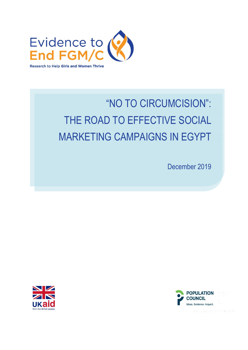

# TITLE WHITE TEXT THE ROAD TO EFFECTIVE SOCIAL MARKETING CAMPAIGNS IN EGYPT "NO TO CIRCUMCISION":

December 2019



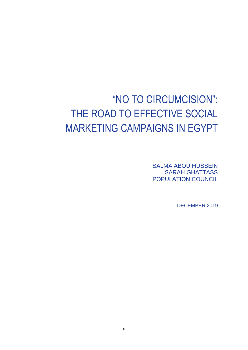# "NO TO CIRCUMCISION": THE ROAD TO EFFECTIVE SOCIAL MARKETING CAMPAIGNS IN EGYPT

SALMA ABOU HUSSEIN SARAH GHATTASS POPULATION COUNCIL

DECEMBER 2019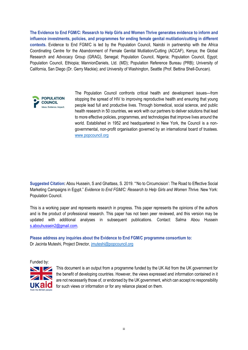**The Evidence to End FGM/C: Research to Help Girls and Women Thrive generates evidence to inform and influence investments, policies, and programmes for ending female genital mutilation/cutting in different contexts.** Evidence to End FGM/C is led by the Population Council, Nairobi in partnership with the Africa Coordinating Centre for the Abandonment of Female Genital Mutilation/Cutting (ACCAF), Kenya; the Global Research and Advocacy Group (GRAG), Senegal; Population Council, Nigeria; Population Council, Egypt; Population Council, Ethiopia; MannionDaniels, Ltd. (MD); Population Reference Bureau (PRB); University of California, San Diego (Dr. Gerry Mackie); and University of Washington, Seattle (Prof. Bettina Shell-Duncan).



The Population Council confronts critical health and development issues—from stopping the spread of HIV to improving reproductive health and ensuring that young people lead full and productive lives. Through biomedical, social science, and public health research in 50 countries, we work with our partners to deliver solutions that lead to more effective policies, programmes, and technologies that improve lives around the world. Established in 1952 and headquartered in New York, the Council is a nongovernmental, non-profit organisation governed by an international board of trustees. [www.popcouncil.org](http://www.popcouncil.org/)

**Suggested Citation:** Abou Hussein, S and Ghattass, S. 2019. "'No to Circumcision': The Road to Effective Social Marketing Campaigns in Egypt." *Evidence to End FGM/C: Research to Help Girls and Women Thrive.* New York: Population Council.

This is a working paper and represents research in progress. This paper represents the opinions of the authors and is the product of professional research. This paper has not been peer reviewed, and this version may be updated with additional analyses in subsequent publications. Contact: Salma Abou Hussein [s.abouhussein2@gmail.com.](mailto:s.abouhussein2@gmail.com)

**Please address any inquiries about the Evidence to End FGM/C programme consortium to:**  Dr Jacinta Muteshi, Project Director, [jmuteshi@popcouncil.org](mailto:jmuteshi@popcouncil.org)

Funded by:



This document is an output from a programme funded by the UK Aid from the UK government for the benefit of developing countries. However, the views expressed and information contained in it are not necessarily those of, or endorsed by the UK government, which can accept no responsibility for such views or information or for any reliance placed on them.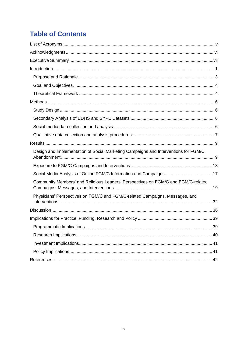# **Table of Contents**

| Design and Implementation of Social Marketing Campaigns and Interventions for FGM/C |    |
|-------------------------------------------------------------------------------------|----|
|                                                                                     |    |
|                                                                                     |    |
| Community Members' and Religious Leaders' Perspectives on FGM/C and FGM/C-related   |    |
| Physicians' Perspectives on FGM/C and FGM/C-related Campaigns, Messages, and        |    |
|                                                                                     |    |
|                                                                                     |    |
|                                                                                     | 39 |
|                                                                                     |    |
|                                                                                     |    |
|                                                                                     |    |
|                                                                                     |    |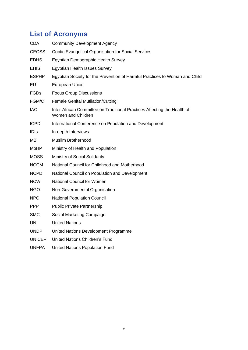# <span id="page-4-0"></span>**List of Acronyms**

| <b>CDA</b>    | <b>Community Development Agency</b>                                                            |
|---------------|------------------------------------------------------------------------------------------------|
| <b>CEOSS</b>  | Coptic Evangelical Organisation for Social Services                                            |
| <b>EDHS</b>   | Egyptian Demographic Health Survey                                                             |
| <b>EHIS</b>   | <b>Egyptian Health Issues Survey</b>                                                           |
| <b>ESPHP</b>  | Egyptian Society for the Prevention of Harmful Practices to Woman and Child                    |
| EU            | European Union                                                                                 |
| <b>FGDs</b>   | <b>Focus Group Discussions</b>                                                                 |
| FGM/C         | <b>Female Genital Mutilation/Cutting</b>                                                       |
| <b>IAC</b>    | Inter-African Committee on Traditional Practices Affecting the Health of<br>Women and Children |
| <b>ICPD</b>   | International Conference on Population and Development                                         |
| <b>IDIS</b>   | In-depth Interviews                                                                            |
| MВ            | <b>Muslim Brotherhood</b>                                                                      |
| MoHP          | Ministry of Health and Population                                                              |
| <b>MOSS</b>   | Ministry of Social Solidarity                                                                  |
| <b>NCCM</b>   | National Council for Childhood and Motherhood                                                  |
| <b>NCPD</b>   | National Council on Population and Development                                                 |
| <b>NCW</b>    | National Council for Women                                                                     |
| NGO           | Non-Governmental Organisation                                                                  |
| <b>NPC</b>    | <b>National Population Council</b>                                                             |
| <b>PPP</b>    | <b>Public Private Partnership</b>                                                              |
| <b>SMC</b>    | Social Marketing Campaign                                                                      |
| <b>UN</b>     | <b>United Nations</b>                                                                          |
| <b>UNDP</b>   | United Nations Development Programme                                                           |
| <b>UNICEF</b> | <b>United Nations Children's Fund</b>                                                          |
| <b>UNFPA</b>  | <b>United Nations Population Fund</b>                                                          |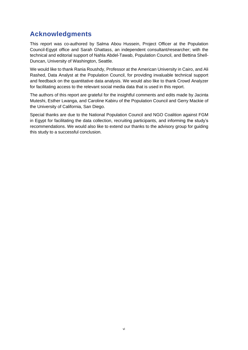# <span id="page-5-0"></span>**Acknowledgments**

This report was co-authored by Salma Abou Hussein, Project Officer at the Population Council-Egypt office and Sarah Ghattass, an independent consultant/researcher; with the technical and editorial support of Nahla Abdel-Tawab, Population Council, and Bettina Shell-Duncan, University of Washington, Seattle.

We would like to thank Rania Roushdy, Professor at the American University in Cairo, and Ali Rashed, Data Analyst at the Population Council, for providing invaluable technical support and feedback on the quantitative data analysis. We would also like to thank Crowd Analyzer for facilitating access to the relevant social media data that is used in this report.

The authors of this report are grateful for the insightful comments and edits made by Jacinta Muteshi, Esther Lwanga, and Caroline Kabiru of the Population Council and Gerry Mackie of the University of California, San Diego.

Special thanks are due to the National Population Council and NGO Coalition against FGM in Egypt for facilitating the data collection, recruiting participants, and informing the study's recommendations. We would also like to extend our thanks to the advisory group for guiding this study to a successful conclusion.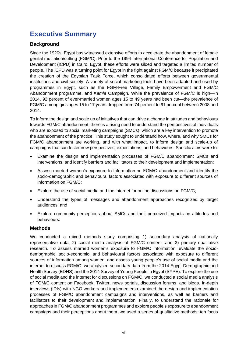# <span id="page-6-0"></span>**Executive Summary**

# **Background**

Since the 1920s, Egypt has witnessed extensive efforts to accelerate the abandonment of female genital mutilation/cutting (FGM/C). Prior to the 1994 International Conference for Population and Development (ICPD) in Cairo, Egypt, these efforts were siloed and targeted a limited number of people. The ICPD was a turning point for Egypt in the fight against FGM/C because it precipitated the creation of the Egyptian Task Force, which consolidated efforts between governmental institutions and civil society. A variety of social marketing tools have been adapted and used by programmes in Egypt, such as the FGM-Free Village, Family Empowerment and FGM/C Abandonment programme, and *Kamla* Campaign. While the prevalence of FGM/C is high—in 2014, 92 percent of ever-married women ages 15 to 49 years had been cut—the prevalence of FGM/C among girls ages 15 to 17 years dropped from 74 percent to 61 percent between 2008 and 2014.

To inform the design and scale up of initiatives that can drive a change in attitudes and behaviours towards FGM/C abandonment, there is a rising need to understand the perspectives of individuals who are exposed to social marketing campaigns (SMCs), which are a key intervention to promote the abandonment of the practice. This study sought to understand how, where, and why SMCs for FGM/C abandonment are working, and with what impact, to inform design and scale-up of campaigns that can foster new perspectives, expectations, and behaviours. Specific aims were to:

- Examine the design and implementation processes of FGM/C abandonment SMCs and interventions, and identify barriers and facilitators to their development and implementation;
- Assess married women's exposure to information on FGM/C abandonment and identify the socio-demographic and behavioural factors associated with exposure to different sources of information on FGM/C;
- Explore the use of social media and the internet for online discussions on FGM/C;
- Understand the types of messages and abandonment approaches recognized by target audiences; and
- Explore community perceptions about SMCs and their perceived impacts on attitudes and behaviours.

# **Methods**

We conducted a mixed methods study comprising 1) secondary analysis of nationally representative data, 2) social media analysis of FGM/C content, and 3) primary qualitative research. To assess married women's exposure to FGM/C information, evaluate the sociodemographic, socio-economic, and behavioural factors associated with exposure to different sources of information among women, and assess young people's use of social media and the internet to discuss FGM/C, we analysed secondary data from the 2014 Egypt Demographic and Health Survey (EDHS) and the 2014 Survey of Young People in Egypt (SYPE). To explore the use of social media and the internet for discussions on FGM/C, we conducted a social media analysis of FGM/C content on Facebook, Twitter, news portals, discussion forums, and blogs. In-depth interviews (IDIs) with NGO workers and implementers examined the design and implementation processes of FGM/C abandonment campaigns and interventions, as well as barriers and facilitators to their development and implementation. Finally, to understand the rationale for approaches in FGM/C abandonment programmes and explore people's exposure to abandonment campaigns and their perceptions about them, we used a series of qualitative methods: ten focus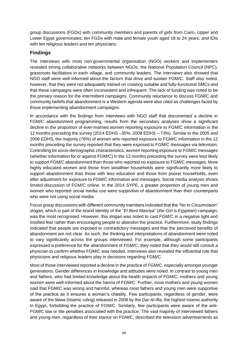group discussions (FGDs) with community members and parents of girls from Cairo, Upper and Lower Egypt governorates; ten FGDs with male and female youth aged 18 to 24 years; and IDIs with ten religious leaders and ten physicians.

# **Findings**

The interviews with most non-governmental organisation (NGO) workers and implementers revealed strong collaborative networks between NGOs, the National Population Council (NPC), grassroots facilitators in each village, and community leaders. The interviews also showed that NGO staff were well-informed about the factors that drive and sustain FGM/C. Staff also noted, however, that they were not adequately trained on creating suitable and fully-functional SMCs and that these campaigns were often inconsistent and infrequent. The lack of funding was noted to be the primary reason for the intermittent campaigns. Community reluctance to discuss FGM/C and community beliefs that abandonment is a Western agenda were also cited as challenges faced by those implementing abandonment campaigns.

In accordance with the findings from interviews with NGO staff that documented a decline in FGM/C abandonment programming, results from the secondary analyses show a significant decline in the proportion of ever-married women reporting exposure to FGM/C information in the 12 months preceding the survey (2014 EDHS –35%, 2008 EDHS – 73%). Similar to the 2005 and 2008 EDHS, the majority (76%) of women who reported exposure to FGM/C information in the 12 months preceding the survey reported that they were exposed to FGM/C messages via television. Controlling for socio-demographic characteristics, women reporting exposure to FGM/C messages (whether information for or against FGM/C) in the 12 months preceding the survey were less likely to support FGM/C abandonment than those who reported no exposure to FGM/C messages. More highly educated women and those from wealthier households were significantly more likely to support abandonment than those with less education and those from poorer households, even after adjustment for exposure to FGM/C information and messages. Social media analysis shows limited discussion of FGM/C online. In the 2014 SYPE, a greater proportion of young men and women who reported social media use were supportive of abandonment than their counterparts who were not using social media.

Focus group discussions with different community members indicated that the "No to Circumcision" slogan, which is part of the brand identity of the "*El Bent Masriya*" (*the Girl is Egyptian*) campaign, was the most recognised. However, this slogan was noted to cast FGM/C in a negative light and instilled fear rather than encouraging people to abandon the practice. Furthermore, study findings indicated that people are exposed to contradictory messages and that the perceived benefits of abandonment are not clear. As such, the thinking and interpretations of abandonment were noted to vary significantly across the groups interviewed. For example, although some participants expressed a preference for the abandonment of FGM/C, they noted that they would still consult a physician to confirm whether FGM/C was needed. Interviews also revealed the influential role that physicians and religious leaders play in decisions regarding FGM/C.

Most of those interviewed reported a decline in the practice of FGM/C, especially amongst younger generations. Gender differences in knowledge and attitudes were noted. In contrast to young men and fathers, who had limited knowledge about the health impacts of FGM/C, mothers and young women were well-informed about the harms of FGM/C. Further, most mothers and young women said that FGM/C was wrong and harmful, whereas most fathers and young men were supportive of the practice as it ensures a woman's chastity. Few participants, regardless of gender, were aware of the *fatwa* (Islamic ruling) released in 2008 by the *Dar Al-Ifta*, the highest Islamic authority in Egypt, forbidding the practice of FGM/C. Similarly, few participants were aware of the anti-FGM/C law or the penalties associated with the practice. The vast majority of interviewed fathers and young men, regardless of their stance on FGM/C, described the television advertisements as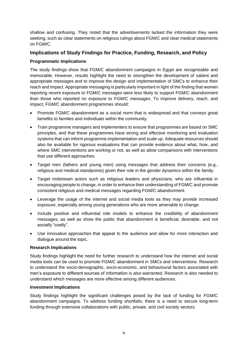shallow and confusing. They noted that the advertisements lacked the information they were seeking, such as clear statements on religious rulings about FGM/C and clear medical statements on FGM/C.

# **Implications of Study Findings for Practice, Funding, Research, and Policy**

# **Programmatic Implications**

The study findings show that FGM/C abandonment campaigns in Egypt are recognisable and memorable. However, results highlight the need to strengthen the development of salient and appropriate messages and to improve the design and implementation of SMCs to enhance their reach and impact. Appropriate messaging is particularly important in light of the finding that women reporting recent exposure to FGM/C messages were less likely to support FGM/C abandonment than those who reported no exposure to FGM/C messages. To improve delivery, reach, and impact, FGM/C abandonment programmes should:

- Promote FGM/C abandonment as a social norm that is widespread and that conveys great benefits to families and individuals within the community.
- Train programme managers and implementers to ensure that programmes are based on SMC principles, and that these programmes have strong and effective monitoring and evaluation systems that can inform programme implementation and scale up. Adequate resources should also be available for rigorous evaluations that can provide evidence about what, how, and where SMC interventions are working or not, as well as allow comparisons with interventions that use different approaches.
- Target men (fathers and young men) using messages that address their concerns (e.g., religious and medical standpoints) given their role in the gender dynamics within the family.
- Target midstream actors such as religious leaders and physicians, who are influential in encouraging people to change, in order to enhance their understanding of FGM/C and promote consistent religious and medical messages regarding FGM/C abandonment.
- Leverage the usage of the internet and social media tools as they may provide increased exposure, especially among young generations who are more amenable to change.
- Include positive and influential role models to enhance the credibility of abandonment messages, as well as show the public that abandonment is beneficial, desirable, and not socially "costly".
- Use innovative approaches that appeal to the audience and allow for more interaction and dialogue around the topic.

# **Research Implications**

Study findings highlight the need for further research to understand how the internet and social media tools can be used to promote FGM/C abandonment in SMCs and interventions. Research to understand the socio-demographic, socio-economic, and behavioural factors associated with men's exposure to different sources of information is also warranted. Research is also needed to understand which messages are more effective among different audiences.

#### **Investment Implications**

Study findings highlight the significant challenges posed by the lack of funding for FGM/C abandonment campaigns. To address funding shortfalls, there is a need to secure long-term funding through extensive collaborations with public, private, and civil society sectors.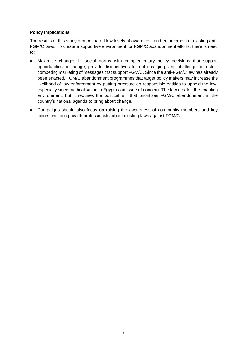# **Policy Implications**

The results of this study demonstrated low levels of awareness and enforcement of existing anti-FGM/C laws. To create a supportive environment for FGM/C abandonment efforts, there is need to:

- Maximise changes in social norms with complementary policy decisions that support opportunities to change, provide disincentives for not changing, and challenge or restrict competing marketing of messages that support FGM/C. Since the anti-FGM/C law has already been enacted, FGM/C abandonment programmes that target policy makers may increase the likelihood of law enforcement by putting pressure on responsible entities to uphold the law, especially since medicalisation in Egypt is an issue of concern. The law creates the enabling environment, but it requires the political will that prioritises FGM/C abandonment in the country's national agenda to bring about change.
- Campaigns should also focus on raising the awareness of community members and key actors, including health professionals, about existing laws against FGM/C.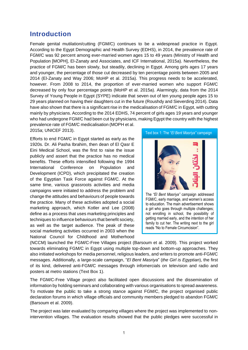# <span id="page-10-0"></span>**Introduction**

Female genital mutilation/cutting (FGM/C) continues to be a widespread practice in Egypt. According to the Egypt Demographic and Health Survey (EDHS), in 2014, the prevalence rate of FGM/C was 92 percent among ever-married women ages 15 to 49 years (Ministry of Health and Population [MOPH], El-Zanaty and Associates, and ICF International, 2015a). Nevertheless, the practice of FGM/C has been slowly, but steadily, declining in Egypt. Among girls ages 17 years and younger, the percentage of those cut decreased by ten percentage points between 2005 and 2014 (El-Zanaty and Way 2006; MoHP et al. 2015a). This progress needs to be accelerated, however. From 2008 to 2014, the proportion of ever-married women who support FGM/C decreased by only four percentage points (MoHP et al. 2015a). Alarmingly, data from the 2014 Survey of Young People in Egypt (SYPE) indicate that seven out of ten young people ages 15 to 29 years planned on having their daughters cut in the future (Roushdy and Sieverding 2014). Data have also shown that there is a significant rise in the medicalisation of FGM/C in Egypt, with cutting mainly by physicians. According to the 2014 EDHS, 74 percent of girls ages 19 years and younger who had undergone FGM/C had been cut by physicians, making Egypt the country with the highest prevalence rate of FGM/C medicalisation (MOPH et al.

2015a; UNICEF 2013).

Efforts to end FGM/C in Egypt started as early as the 1920s. Dr. Ali Pasha Ibrahim, then dean of El Qasr E Eini Medical School, was the first to raise the issue publicly and assert that the practice has no medical benefits. These efforts intensified following the 1994 International Conference on Population and Development (ICPD), which precipitated the creation of the Egyptian Task Force against FGM/C. At the same time, various grassroots activities and media campaigns were initiated to address the problem and change the attitudes and behaviours of people towards the practice. Many of these activities adopted a social marketing approach, which Kotler and Lee (2008) define as a process that uses marketing principles and techniques to influence behaviours that benefit society, as well as the target audience. The peak of these social marketing activities occurred in 2003 when the National Council for Childhood and Motherhood



reads "No to Female Circumcision".

(NCCM) launched the FGM/C-Free Villages project (Barsoum et al. 2009). This project worked towards eliminating FGM/C in Egypt using multiple top-down and bottom-up approaches. They also initiated workshops for media personnel, religious leaders, and writers to promote anti-FGM/C messages. Additionally, a large-scale campaign, "*El Bent Masriya*" (*the Girl is Egyptian*), the first of its kind, delivered anti-FGM/C messages through infomercials on television and radio and posters at metro stations (Text Box 1).

The FGM/C-Free Village project also facilitated open discussions and the dissemination of information by holding seminars and collaborating with various organisations to spread awareness. To motivate the public to take a strong stance against FGM/C, the project organised public declaration forums in which village officials and community members pledged to abandon FGM/C (Barsoum et al. 2009).

The project was later evaluated by comparing villages where the project was implemented to nonintervention villages. The evaluation results showed that the public pledges were successful in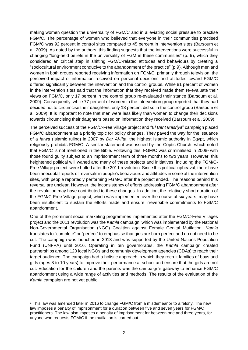making women question the universality of FGM/C and in alleviating social pressure to practise FGM/C. The percentage of women who believed that everyone in their communities practised FGM/C was 92 percent in control sites compared to 45 percent in intervention sites (Barsoum et al. 2009). As noted by the authors, this finding suggests that the interventions were successful in changing "long-held beliefs in the universality of FGM in these communities" (p. 9), which they considered an critical step in shifting FGM/C-related attitudes and behaviours by creating a "sociocultural environment conducive to the abandonment of the practice" (p.9). Although men and women in both groups reported receiving information on FGM/C, primarily through television, the perceived impact of information received on personal decisions and attitudes toward FGM/C differed significantly between the intervention and the control groups. While 81 percent of women in the intervention sites said that the information that they received made them re-evaluate their views on FGM/C, only 17 percent in the control group re-evaluated their stance (Barsoum et al. 2009). Consequently, while 77 percent of women in the intervention group reported that they had decided not to circumcise their daughters, only 13 percent did so in the control group (Barsoum et al. 2009). It is important to note that men were less likely than women to change their decisions towards circumcising their daughters based on information they received (Barsoum et al. 2009).

The perceived success of the FGM/C-Free Village project and "*El Bent Masriya*" campaign placed FGM/C abandonment as a priority topic for policy changes. They paved the way for the issuance of a *fatwa* (Islamic ruling) in 2007 by *Dar Al-Ifta*, the highest Islamic authority in Egypt, which religiously prohibits FGM/C. A similar statement was issued by the Coptic Church, which noted that FGM/C is not mentioned in the Bible. Following this, FGM/C was criminalised in 2008<sup>1</sup> with those found guilty subject to an imprisonment term of three months to two years. However, this heightened political will waned and many of these projects and initiatives, including the FGM/C-Free Village project, were halted after the 2011 revolution. Since this political upheaval, there have been anecdotal reports of reversals in people's behaviours and attitudes in some of the intervention sites, with people reportedly performing FGM/C after the project ended. The reasons behind this reversal are unclear. However, the inconsistency of efforts addressing FGM/C abandonment after the revolution may have contributed to these changes. In addition, the relatively short duration of the FGM/C-Free Village project, which was implemented over the course of six years, may have been insufficient to sustain the efforts made and ensure irreversible commitments to FGM/C abandonment.

One of the prominent social marketing programmes implemented after the FGM/C-Free Villages project and the 2011 revolution was the *Kamla* campaign, which was implemented by the National Non-Governmental Organisation (NGO) Coalition against Female Genital Mutilation. *Kamla* translates to "complete" or "perfect" to emphasise that girls are born perfect and do not need to be cut. The campaign was launched in 2013 and was supported by the United Nations Population Fund (UNFPA) until 2016. Operating in ten governorates, the *Kamla* campaign created partnerships among 120 local NGOs and community development agencies (CDAs) to reach their target audience. The campaign had a holistic approach in which they recruit families of boys and girls (ages 8 to 10 years) to improve their performance at school and ensure that the girls are not cut. Education for the children and the parents was the campaign's gateway to enhance FGM/C abandonment using a wide range of activities and methods. The results of the evaluation of the *Kamla* campaign are not yet public.

<sup>1</sup> This law was amended later in 2016 to change FGM/C from a misdemeanor to a felony. The new law imposes a penalty of imprisonment for a duration between five and seven years for FGM/C practitioners. The law also imposes a penalty of imprisonment for between one and three years, for anyone who requests FGM/C if the mutilation is carried out.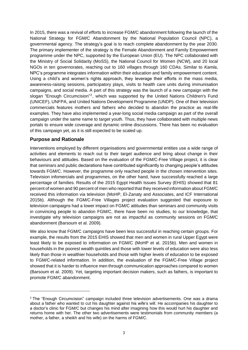In 2015, there was a revival of efforts to increase FGM/C abandonment following the launch of the National Strategy for FGM/C Abandonment by the National Population Council (NPC), a governmental agency. The strategy's goal is to reach complete abandonment by the year 2030. The primary implementer of the strategy is the Female Abandonment and Family Empowerment programme under the NPC, supported by the European Union (EU). The NPC collaborated with the Ministry of Social Solidarity (MoSS), the National Council for Women (NCW), and 20 local NGOs in ten governorates, reaching out to 160 villages through 160 CDAs. Similar to *Kamla*, NPC's programme integrates information within their education and family empowerment content. Using a child's and women's rights approach, they leverage their efforts in the mass media, awareness-raising sessions, participatory plays, visits to health care units during immunisation campaigns, and social media. A part of this strategy was the launch of a new campaign with the slogan "Enough Circumcision"<sup>2</sup>, which was supported by the United Nations Children's Fund (UNICEF), UNFPA, and United Nations Development Programme (UNDP). One of their television commercials features mothers and fathers who decided to abandon the practice as real-life examples. They have also implemented a year-long social media campaign as part of the overall campaign under the same name to target youth. Thus, they have collaborated with multiple news portals to ensure wide coverage and dynamic online discussions. There has been no evaluation of this campaign yet, as it is still expected to be scaled up.

# <span id="page-12-0"></span>**Purpose and Rationale**

Interventions employed by different organisations and governmental entities use a wide range of activities and elements to reach out to their target audience and bring about change in their behaviours and attitudes. Based on the evaluation of the FGM/C-Free Village project, it is clear that seminars and public declarations have contributed significantly to changing people's attitudes towards FGM/C. However, the programme only reached people in the chosen intervention sites. Television infomercials and programmes, on the other hand, have successfully reached a large percentage of families. Results of the 2015 Egypt Health Issues Survey (EHIS) showed that 81 percent of women and 90 percent of men who reported that they received information about FGM/C received this information via television (MoHP, El-Zanaty and Associates, and ICF International 2015b). Although the FGM/C-Free Villages project evaluation suggested that exposure to television campaigns had a lower impact on FGM/C attitudes than seminars and community visits in convincing people to abandon FGM/C, there have been no studies, to our knowledge, that investigate why television campaigns are not as impactful as community sessions on FGM/C abandonment (Barsoum et al. 2009).

We also know that FGM/C campaigns have been less successful in reaching certain groups. For example, the results from the 2015 EHIS showed that men and women in rural Upper Egypt were least likely to be exposed to information on FGM/C (MoHP et al. 2015b). Men and women in households in the poorest wealth quintiles and those with lower levels of education were also less likely than those in wealthier households and those with higher levels of education to be exposed to FGM/C-related information. In addition, the evaluation of the FGM/C-Free Village project showed that it is harder to influence men through communication approaches compared to women (Barsoum et al. 2009). Yet, targeting important decision makers, such as fathers, is important to promote FGM/C abandonment.

<sup>&</sup>lt;sup>2</sup> The "Enough Circumcision" campaign included three television advertisements. One was a drama about a father who wanted to cut his daughter against his wife's will. He accompanies his daughter to a doctor's clinic for FGM/C but changes his mind after imagining how this would hurt his daughter and returns home with her. The other two advertisements were testimonials from community members (a mother, a father, a sheikh and his wife) on the harms of FGM/C.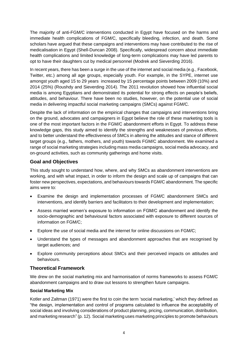The majority of anti-FGM/C interventions conducted in Egypt have focused on the harms and immediate health complications of FGM/C, specifically bleeding, infection, and death. Some scholars have argued that these campaigns and interventions may have contributed to the rise of medicalisation in Egypt (Shell-Duncan 2008). Specifically, widespread concern about immediate health complications and limited knowledge of long-term complications may have led parents to opt to have their daughters cut by medical personnel (Modrek and Sieverding 2016).

In recent years, there has been a surge in the use of the internet and social media (e.g., Facebook, Twitter, etc.) among all age groups, especially youth. For example, in the SYPE, internet use amongst youth aged 15 to 29 years increased by 15 percentage points between 2009 (10%) and 2014 (25%) (Roushdy and Sieverding 2014). The 2011 revolution showed how influential social media is among Egyptians and demonstrated its potential for strong effects on people's beliefs, attitudes, and behaviour. There have been no studies, however, on the potential use of social media in delivering impactful social marketing campaigns (SMCs) against FGM/C.

Despite the lack of information on the empirical changes that campaigns and interventions bring on the ground, advocates and campaigners in Egypt believe the role of these marketing tools is one of the most important factors in the FGM/C abandonment efforts in Egypt. To address these knowledge gaps, this study aimed to identify the strengths and weaknesses of previous efforts, and to better understand the effectiveness of SMCs in altering the attitudes and stance of different target groups (e.g., fathers, mothers, and youth) towards FGM/C abandonment. We examined a range of social marketing strategies including mass media campaigns, social media advocacy, and on-ground activities, such as community gatherings and home visits.

# <span id="page-13-0"></span>**Goal and Objectives**

This study sought to understand how, where, and why SMCs as abandonment interventions are working, and with what impact, in order to inform the design and scale up of campaigns that can foster new perspectives, expectations, and behaviours towards FGM/C abandonment. The specific aims were to:

- Examine the design and implementation processes of FGM/C abandonment SMCs and interventions, and identify barriers and facilitators to their development and implementation;
- Assess married women's exposure to information on FGM/C abandonment and identify the socio-demographic and behavioural factors associated with exposure to different sources of information on FGM/C;
- Explore the use of social media and the internet for online discussions on FGM/C;
- Understand the types of messages and abandonment approaches that are recognised by target audiences; and
- Explore community perceptions about SMCs and their perceived impacts on attitudes and behaviours.

# <span id="page-13-1"></span>**Theoretical Framework**

We drew on the social marketing mix and harmonisation of norms frameworks to assess FGM/C abandonment campaigns and to draw out lessons to strengthen future campaigns.

# **Social Marketing Mix**

Kotler and Zaltman (1971) were the first to coin the term 'social marketing,' which they defined as "the design, implementation and control of programs calculated to influence the acceptability of social ideas and involving considerations of product planning, pricing, communication, distribution, and marketing research" (p. 12). Social marketing uses marketing principles to promote behaviours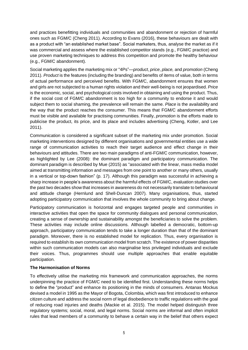and practices benefitting individuals and communities and abandonment or rejection of harmful ones such as FGM/C (Cheng 2011). According to Evans (2016), these behaviours are dealt with as a product with "an established market base". Social marketers, thus, analyse the market as if it was commercial and assess where the established competitor stands (e.g., FGM/C practice) and use proven marketing techniques to address this competition and promote the healthy behaviour (e.g., FGM/C abandonment).

Social marketing applies the marketing mix or "4Ps"—*product*, *price*, *place,* and *promotion* (Cheng 2011). *Product* is the features (including the branding) and benefits of items of value, both in terms of actual performance and perceived benefits. With FGM/C, abandonment ensures that women and girls are not subjected to a human rights violation and their well-being is not jeopardised. *Price* is the economic, social, and psychological costs involved in obtaining and using the product. Thus, if the social cost of FGM/C abandonment is too high for a community to endorse it and would subject them to social shaming, the prevalence will remain the same. *Place* is the availability and the way that the product reaches the consumer. This means that FGM/C abandonment efforts must be visible and available for practising communities. Finally, *promotion* is the efforts made to publicise the product, its price, and its place and includes advertising (Cheng, Kotler, and Lee 2011).

Communication is considered a significant subset of the marketing mix under promotion. Social marketing interventions designed by different organisations and governmental entities use a wide range of communication activities to reach their target audience and effect change in their behaviours and attitudes. There are two main paradigms of anti-FGM/C communication, however, as highlighted by Lee (2008): the dominant paradigm and participatory communication. The dominant paradigm is described by Mue (2015) as "associated with the linear, mass media model aimed at transmitting information and messages from one point to another or many others, usually in a vertical or top-down fashion" (p. 17). Although this paradigm was successful in achieving a sharp increase in people's awareness about the harmful effects of FGM/C, evaluation studies over the past two decades show that increases in awareness do not necessarily translate to behavioural and attitude change (Hernlund and Shell-Duncan 2007). Many organisations, thus, started adopting participatory communication that involves the whole community to bring about change.

Participatory communication is horizontal and engages targeted people and communities in interactive activities that open the space for community dialogues and personal communication, creating a sense of ownership and sustainability amongst the beneficiaries to solve the problem. These activities may include online discussions. Although labelled a democratic, bottom-up approach, participatory communication tends to take a longer duration than that of the dominant paradigm. Moreover, there is no established model for replication. Thus, every organisation is required to establish its own communication model from scratch. The existence of power disparities within such communication models can also marginalise less privileged individuals and exclude their voices. Thus, programmes should use multiple approaches that enable equitable participation.

# **The Harmonisation of Norms**

To effectively utilise the marketing mix framework and communication approaches, the norms underpinning the practice of FGM/C need to be identified first. Understanding these norms helps to define the "product" and enhance its positioning in the minds of consumers. Antanas Mockus devised a model in 1995 as the Mayor of Bogota, Colombia, which was first introduced to enhance citizen culture and address the social norm of legal disobedience to traffic regulations with the goal of reducing road injuries and deaths (Mackie et al. 2015). The model helped distinguish three regulatory systems; social, moral, and legal norms. Social norms are informal and often implicit rules that lead members of a community to behave a certain way in the belief that others expect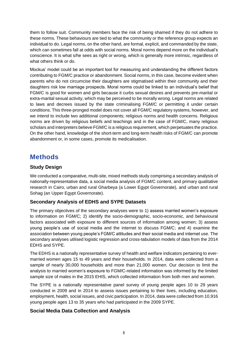them to follow suit. Community members face the risk of being shamed if they do not adhere to these norms. These behaviours are tied to what the community or the reference group expects an individual to do. Legal norms, on the other hand, are formal, explicit, and commanded by the state, which can sometimes fall at odds with social norms. Moral norms depend more on the individual's conscience. It is what s/he sees as right or wrong, which is generally more intrinsic, regardless of what others think or do.

Mockus' model could be an important tool for measuring and understanding the different factors contributing to FGM/C practice or abandonment. Social norms, in this case, become evident when parents who do not circumcise their daughters are stigmatised within their community and their daughters risk low marriage prospects. Moral norms could be linked to an individual's belief that FGM/C is good for women and girls because it curbs sexual desires and prevents pre-marital or extra-marital sexual activity, which may be perceived to be morally wrong. Legal norms are related to laws and decrees issued by the state criminalising FGM/C or permitting it under certain conditions. This three-pronged model does not cover all FGM/C regulatory systems, however, and we intend to include two additional components; religious norms and health concerns. Religious norms are driven by religious beliefs and teachings and in the case of FGM/C, many religious scholars and interpreters believe FGM/C is a religious requirement, which perpetuates the practice. On the other hand, knowledge of the short-term and long-term health risks of FGM/C can promote abandonment or, in some cases, promote its medicalisation.

# <span id="page-15-0"></span>**Methods**

# <span id="page-15-1"></span>**Study Design**

We conducted a comparative, multi-site, mixed methods study comprising a secondary analysis of nationally-representative data, a social media analysis of FGM/C content, and primary qualitative research in Cairo, urban and rural Gharbeya (a Lower Egypt Governorate), and urban and rural Sohag (an Upper Egypt Governorate).

# <span id="page-15-2"></span>**Secondary Analysis of EDHS and SYPE Datasets**

The primary objectives of the secondary analyses were to 1) assess married women's exposure to information on FGM/C; 2) identify the socio-demographic, socio-economic, and behavioural factors associated with exposure to different sources of information among women; 3) assess young people's use of social media and the internet to discuss FGM/C; and 4) examine the association between young people's FGM/C attitudes and their social media and internet use. The secondary analyses utilised logistic regression and cross-tabulation models of data from the 2014 EDHS and SYPE.

The EDHS is a nationally representative survey of health and welfare indicators pertaining to evermarried women ages 15 to 49 years and their households. In 2014, data were collected from a sample of nearly 30,000 households and more than 21,000 women. Our decision to limit the analysis to married women's exposure to FGM/C-related information was informed by the limited sample size of males in the 2015 EHIS, which collected information from both men and women.

The SYPE is a nationally representative panel survey of young people ages 10 to 29 years conducted in 2009 and in 2014 to assess issues pertaining to their lives, including education, employment, health, social issues, and civic participation. In 2014, data were collected from 10,916 young people ages 13 to 35 years who had participated in the 2009 SYPE.

# <span id="page-15-3"></span>**Social Media Data Collection and Analysis**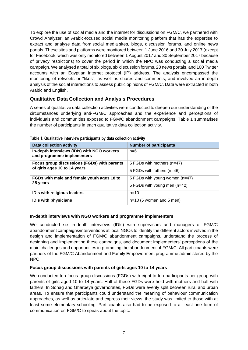To explore the use of social media and the internet for discussions on FGM/C, we partnered with Crowd Analyzer, an Arabic-focused social media monitoring platform that has the expertise to extract and analyse data from social media sites, blogs, discussion forums, and online news portals. These sites and platforms were monitored between 1 June 2016 and 30 July 2017 (except for Facebook, which was only monitored between 1 August 2017 and 30 September 2017 because of privacy restrictions) to cover the period in which the NPC was conducting a social media campaign. We analysed a total of six blogs, six discussion forums, 28 news portals, and 100 Twitter accounts with an Egyptian internet protocol (IP) address. The analysis encompassed the monitoring of retweets or "likes", as well as shares and comments, and involved an in-depth analysis of the social interactions to assess public opinions of FGM/C. Data were extracted in both Arabic and English.

# <span id="page-16-0"></span>**Qualitative Data Collection and Analysis Procedures**

A series of qualitative data collection activities were conducted to deepen our understanding of the circumstances underlying anti-FGM/C approaches and the experience and perceptions of individuals and communities exposed to FGM/C abandonment campaigns. Table 1 summarises the number of participants in each qualitative data collection activity.

| $1800$ T. Wallingthy Their fight participation by auth concellent dotterly |                                |  |  |  |
|----------------------------------------------------------------------------|--------------------------------|--|--|--|
| Data collection activity                                                   | <b>Number of participants</b>  |  |  |  |
| In-depth interviews (IDIs) with NGO workers<br>and programme implementers  | $n=6$                          |  |  |  |
| Focus group discussions (FGDs) with parents                                | 5 FGDs with mothers (n=47)     |  |  |  |
| of girls ages 10 to 14 years                                               | 5 FGDs with fathers (n=46)     |  |  |  |
| FGDs with male and female youth ages 18 to                                 | 5 FGDs with young women (n=47) |  |  |  |
| 25 years                                                                   | 5 FGDs with young men (n=42)   |  |  |  |
| <b>IDIs with religious leaders</b>                                         | $n = 10$                       |  |  |  |
| <b>IDIs with physicians</b>                                                | $n=10$ (5 women and 5 men)     |  |  |  |

#### **Table 1. Qualitative interview participants by data collection activity**

#### **In-depth interviews with NGO workers and programme implementers**

We conducted six in-depth interviews (IDIs) with supervisors and managers of FGM/C abandonment campaigns/interventions at local NGOs to identify the different actors involved in the design and implementation of FGM/C abandonment campaigns, understand the process of designing and implementing these campaigns, and document implementers' perceptions of the main challenges and opportunities in promoting the abandonment of FGM/C. All participants were partners of the FGM/C Abandonment and Family Empowerment programme administered by the NPC.

#### **Focus group discussions with parents of girls ages 10 to 14 years**

We conducted ten focus group discussions (FGDs) with eight to ten participants per group with parents of girls aged 10 to 14 years. Half of these FGDs were held with mothers and half with fathers. In Sohag and Gharbeya governorates, FGDs were evenly split between rural and urban areas. To ensure that participants could understand the meaning of behaviour communication approaches, as well as articulate and express their views, the study was limited to those with at least some elementary schooling. Participants also had to be exposed to at least one form of communication on FGM/C to speak about the topic.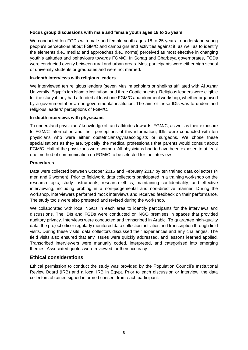#### **Focus group discussions with male and female youth ages 18 to 25 years**

We conducted ten FGDs with male and female youth ages 18 to 25 years to understand young people's perceptions about FGM/C and campaigns and activities against it, as well as to identify the elements (i.e., media) and approaches (i.e., norms) perceived as most effective in changing youth's attitudes and behaviours towards FGM/C. In Sohag and Gharbeya governorates, FGDs were conducted evenly between rural and urban areas. Most participants were either high school or university students or graduates and were not married.

#### **In-depth interviews with religious leaders**

We interviewed ten religious leaders (seven Muslim scholars or sheikhs affiliated with Al Azhar University, Egypt's top Islamic institution, and three Coptic priests). Religious leaders were eligible for the study if they had attended at least one FGM/C abandonment workshop, whether organised by a governmental or a non-governmental institution. The aim of these IDIs was to understand religious leaders' perceptions of FGM/C.

#### **In-depth interviews with physicians**

To understand physicians' knowledge of, and attitudes towards, FGM/C, as well as their exposure to FGM/C information and their perceptions of this information, IDIs were conducted with ten physicians who were either obstetricians/gynaecologists or surgeons. We chose these specialisations as they are, typically, the medical professionals that parents would consult about FGM/C. Half of the physicians were women. All physicians had to have been exposed to at least one method of communication on FGM/C to be selected for the interview.

#### **Procedures**

Data were collected between October 2016 and February 2017 by ten trained data collectors (4 men and 6 women). Prior to fieldwork, data collectors participated in a training workshop on the research topic, study instruments, research ethics, maintaining confidentiality, and effective interviewing, including probing in a non-judgemental and non-directive manner. During the workshop, interviewers performed mock interviews and received feedback on their performance. The study tools were also pretested and revised during the workshop.

We collaborated with local NGOs in each area to identify participants for the interviews and discussions. The IDIs and FGDs were conducted on NGO premises in spaces that provided auditory privacy. Interviews were conducted and transcribed in Arabic. To guarantee high-quality data, the project officer regularly monitored data collection activities and transcription through field visits. During these visits, data collectors discussed their experiences and any challenges. The field visits also ensured that any issues were quickly addressed, and lessons learned applied. Transcribed interviewers were manually coded, interpreted, and categorised into emerging themes. Associated quotes were reviewed for their accuracy.

# **Ethical considerations**

Ethical permission to conduct the study was provided by the Population Council's Institutional Review Board (IRB) and a local IRB in Egypt. Prior to each discussion or interview, the data collectors obtained signed informed consent from each participant.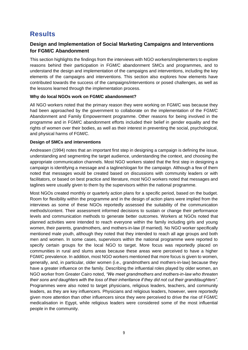# <span id="page-18-0"></span>**Results**

# <span id="page-18-1"></span>**Design and Implementation of Social Marketing Campaigns and Interventions for FGM/C Abandonment**

This section highlights the findings from the interviews with NGO workers/implementers to explore reasons behind their participation in FGM/C abandonment SMCs and programmes, and to understand the design and implementation of the campaigns and interventions, including the key elements of the campaigns and interventions. This section also explores how elements have contributed towards the success of the campaigns/interventions or posed challenges, as well as the lessons learned through the implementation process.

#### **Why do local NGOs work on FGM/C abandonment?**

All NGO workers noted that the primary reason they were working on FGM/C was because they had been approached by the government to collaborate on the implementation of the FGM/C Abandonment and Family Empowerment programme. Other reasons for being involved in the programme and in FGM/C abandonment efforts included their belief in gender equality and the rights of women over their bodies, as well as their interest in preventing the social, psychological, and physical harms of FGM/C.

# **Design of SMCs and interventions**

Andreasen (1994) notes that an important first step in designing a campaign is defining the issue, understanding and segmenting the target audience, understanding the context, and choosing the appropriate communication channels. Most NGO workers stated that the first step in designing a campaign is identifying a message and a tagline/slogan for the campaign. Although a few of them noted that messages would be created based on discussions with community leaders or with facilitators, or based on best practice and literature, most NGO workers noted that messages and taglines were usually given to them by the supervisors within the national programme.

Most NGOs created monthly or quarterly action plans for a specific period, based on the budget. Room for flexibility within the programme and in the design of action plans were implied from the interviews as some of these NGOs reportedly assessed the suitability of the communication methods/content. Their assessment informed decisions to sustain or change their performance levels and communication methods to generate better outcomes. Workers at NGOs noted that planned activities were intended to reach everyone within the family including girls and young women, their parents, grandmothers, and mothers-in-law (if married). No NGO worker specifically mentioned male youth, although they noted that they intended to reach all age groups and both men and women. In some cases, supervisors within the national programme were reported to specify certain groups for the local NGO to target. More focus was reportedly placed on communities in rural and slums areas because these areas were perceived to have a higher FGM/C prevalence. In addition, most NGO workers mentioned that more focus is given to women, generally, and, in particular, older women (i.e., grandmothers and mothers-in-law) because they have a greater influence on the family. Describing the influential roles played by older women, an NGO worker from Greater Cairo noted, *"We meet grandmothers and mothers-in-law who threaten their sons and daughters with the loss of their inheritance if they did not cut their granddaughters"*. Programmes were also noted to target physicians, religious leaders, teachers, and community leaders, as they are key influencers. Physicians and religious leaders, however, were reportedly given more attention than other influencers since they were perceived to drive the rise of FGM/C medicalisation in Egypt, while religious leaders were considered some of the most influential people in the community.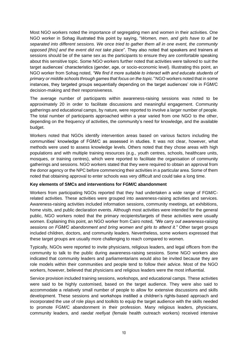Most NGO workers noted the importance of segregating men and women in their activities. One NGO worker in Sohag illustrated this point by saying, "*Women, men, and girls have to all be separated into different sessions. We once tried to gather them all in one event, the community opposed [this] and the event did not take place*". They also noted that speakers and trainers at sessions should be of the same sex as the participants to ensure they are comfortable speaking about this sensitive topic. Some NGO workers further noted that activities were tailored to suit the target audiences' characteristics (gender, age, or socio-economic level). Illustrating this point, an NGO worker from Sohag noted, *"We find it more suitable to interact with and educate students of primary or middle schools through games that focus on the topic."* NGO workers noted that in some instances, they targeted groups sequentially depending on the target audiences' role in FGM/C decision-making and their responsiveness.

The average number of participants within awareness-raising sessions was noted to be approximately 20 in order to facilitate discussions and meaningful engagement. Community gatherings and educational camps, by nature, were reported to involve a larger number of people. The total number of participants approached within a year varied from one NGO to the other, depending on the frequency of activities, the community's need for knowledge, and the available budget.

Workers noted that NGOs identify intervention areas based on various factors including the communities' knowledge of FGM/C as assessed in studies. It was not clear, however, what methods were used to assess knowledge levels. Others noted that they chose areas with high populations and with multiple training resources (e.g., youth centres, schools, healthcare units, mosques, or training centres), which were reported to facilitate the organisation of community gatherings and sessions. NGO workers stated that they were required to obtain an approval from the donor agency or the NPC before commencing their activities in a particular area. Some of them noted that obtaining approval to enter schools was very difficult and could take a long time.

# **Key elements of SMCs and interventions for FGM/C abandonment**

Workers from participating NGOs reported that they had undertaken a wide range of FGM/Crelated activities. These activities were grouped into awareness-raising activities and services. Awareness-raising activities included information sessions, community meetings, art exhibitions, home visits, and public declaration events. Although most activities were intended for the general public, NGO workers noted that the primary recipients/targets of these activities were usually women. Explaining this point, an NGO worker from Cairo noted, *"We carry out awareness-raising sessions on FGM/C abandonment and bring women and girls to attend it."* Other target groups included children, doctors, and community leaders. Nevertheless, some workers expressed that these target groups are usually more challenging to reach compared to women.

Typically, NGOs were reported to invite physicians, religious leaders, and legal officers from the community to talk to the public during awareness-raising sessions. Some NGO workers also indicated that community leaders and parliamentarians would also be invited because they are role models within their communities and people tend to follow their advice. Most of the NGO workers, however, believed that physicians and religious leaders were the most influential.

Service provision included training sessions, workshops, and educational camps. These activities were said to be highly customised, based on the target audience. They were also said to accommodate a relatively small number of people to allow for extensive discussions and skills development. These sessions and workshops instilled a children's rights-based approach and incorporated the use of role plays and toolkits to equip the target audience with the skills needed to promote FGM/C abandonment in their profession. Many religious leaders, physicians, community leaders, and *raedat reefiyat* (female health outreach workers) received intensive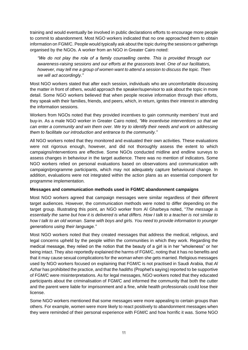training and would eventually be involved in public declarations efforts to encourage more people to commit to abandonment. Most NGO workers indicated that no one approached them to obtain information on FGM/C. People would typically ask about the topic during the sessions or gatherings organised by the NGOs. A worker from an NGO in Greater Cairo noted:

*"We do not play the role of a family counselling centre. This is provided through our awareness-raising sessions and our efforts at the grassroots level. One of our facilitators, however, may tell me a group of women want to attend a session to discuss the topic. Then we will act accordingly."*

Most NGO workers stated that after each session, individuals who are uncomfortable discussing the matter in front of others, would approach the speaker/supervisor to ask about the topic in more detail. Some NGO workers believed that when people receive information through their efforts, they speak with their families, friends, and peers, which, in return, ignites their interest in attending the information sessions.

Workers from NGOs noted that they provided incentives to gain community members' trust and buy-in. As a male NGO worker in Greater Cairo noted, *"We incentivise interventions so that we can enter a community and win them over. We try to identify their needs and work on addressing them to facilitate our introduction and entrance to the community."*

All NGO workers noted that they monitored and evaluated their own activities. These evaluations were not rigorous enough, however, and did not thoroughly assess the extent to which campaigns/interventions are effective. Some NGOs conducted midline and endline surveys to assess changes in behaviour in the target audience. There was no mention of indicators. Some NGO workers relied on personal evaluations based on observations and communication with campaign/programme participants, which may not adequately capture behavioural change. In addition, evaluations were not integrated within the action plans as an essential component for programme implementation.

# **Messages and communication methods used in FGM/C abandonment campaigns**

Most NGO workers agreed that campaign messages were similar regardless of their different target audiences. However, the communication methods were noted to differ depending on the target group. Illustrating this point, an NGO worker from Al Gharbeya noted, "*The message is essentially the same but how it is delivered is what differs. How I talk to a teacher is not similar to how I talk to an old woman. Same with boys and girls. You need to provide information to younger generations using their language."*

Most NGO workers noted that they created messages that address the medical, religious, and legal concerns upheld by the people within the communities in which they work. Regarding the medical message, they relied on the notion that the beauty of a girl is in her "wholeness" or her being intact. They also reportedly explained the harms of FGM/C, noting that it has no benefits and that it may cause sexual complications for the woman when she gets married. Religious messages used by NGO workers focused on explaining that FGM/C is not practised in Saudi Arabia, that *Al Azhar* has prohibited the practice, and that the *hadiths* (Prophet's saying) reported to be supportive of FGM/C were misinterpretations. As for legal messages, NGO workers noted that they educated participants about the criminalisation of FGM/C and informed the community that both the cutter and the parent were liable for imprisonment and a fine, while health professionals could lose their license.

Some NGO workers mentioned that some messages were more appealing to certain groups than others. For example, women were more likely to react positively to abandonment messages when they were reminded of their personal experience with FGM/C and how horrific it was. Some NGO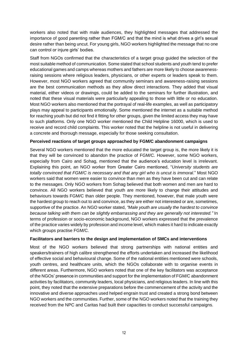workers also noted that with male audiences, they highlighted messages that addressed the importance of good parenting rather than FGM/C and that the mind is what drives a girl's sexual desire rather than being uncut. For young girls, NGO workers highlighted the message that no one can control or injure girls' bodies.

Staff from NGOs confirmed that the characteristics of a target group guided the selection of the most suitable method of communication. Some stated that school students and youth tend to prefer educational games and camps whereas mothers and fathers are more likely to choose awarenessraising sessions where religious leaders, physicians, or other experts or leaders speak to them. However, most NGO workers agreed that community seminars and awareness-raising sessions are the best communication methods as they allow direct interactions. They added that visual material, either videos or drawings, could be added to the seminars for further illustration, and noted that these visual materials were particularly appealing to those with little or no education. Most NGO workers also mentioned that the portrayal of real-life examples, as well as participatory plays may appeal to participants emotionally. Some mentioned the internet as a suitable method for reaching youth but did not find it fitting for other groups, given the limited access they may have to such platforms. Only one NGO worker mentioned the Child Helpline 16000, which is used to receive and record child complaints. This worker noted that the helpline is not useful in delivering a concrete and thorough message, especially for those seeking consultation.

#### **Perceived reactions of target groups approached by FGM/C abandonment campaigns**

Several NGO workers mentioned that the more educated the target group is, the more likely it is that they will be convinced to abandon the practice of FGM/C. However, some NGO workers, especially from Cairo and Sohag, mentioned that the audience's education level is irrelevant. Explaining this point, an NGO worker from Greater Cairo mentioned, "*University students are totally convinced that FGM/C is necessary and that any girl who is uncut is immoral*." Most NGO workers said that women were easier to convince than men as they have been cut and can relate to the messages. Only NGO workers from Sohag believed that both women and men are hard to convince. All NGO workers believed that youth are more likely to change their attitudes and behaviours towards FGM/C than older people. They mentioned, however, that male youth were the hardest group to reach out to and convince, as they are either not interested or are, sometimes, supportive of the practice. An NGO worker stated, *"Male youth are usually the hardest to convince because talking with them can be slightly embarrassing and they are generally not interested."* In terms of profession or socio-economic background, NGO workers expressed that the prevalence of the practice varies widely by profession and income level, which makes it hard to indicate exactly which groups practise FGM/C.

# **Facilitators and barriers to the design and implementation of SMCs and interventions**

Most of the NGO workers believed that strong partnerships with national entities and speakers/trainers of high calibre strengthened the efforts undertaken and increased the likelihood of effective social and behavioural change. Some of the national entities mentioned were schools, youth centres, and healthcare units, which the NGOs collaborate with to organise events in different areas. Furthermore, NGO workers noted that one of the key facilitators was acceptance of the NGOs' presence in communities and support for the implementation of FGM/C abandonment activities by facilitators, community leaders, local physicians, and religious leaders. In line with this point, they noted that the extensive preparations before the commencement of the activity and the innovative and diverse approaches used helped engrain trust and created a strong bond between NGO workers and the communities. Further, some of the NGO workers noted that the training they received from the NPC and Caritas had built their capacities to conduct successful campaigns.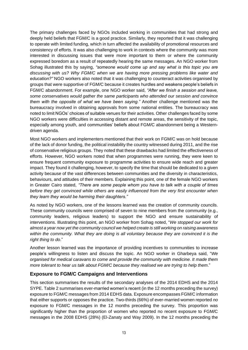The primary challenges faced by NGOs included working in communities that had strong and deeply held beliefs that FGM/C is a good practice. Similarly, they reported that it was challenging to operate with limited funding, which in turn affected the availability of promotional resources and consistency of efforts. It was also challenging to work in contexts where the community was more interested in discussing issues that were more important to them or where the community expressed boredom as a result of repeatedly hearing the same messages. An NGO worker from Sohag illustrated this by saying, *"someone would come up and say what is this topic you are discussing with us? Why FGM/C when we are having more pressing problems like water and education?"* NGO workers also noted that it was challenging to counteract activities organised by groups that were supportive of FGM/C because it creates hurdles and weakens people's beliefs in FGM/C abandonment. For example, one NGO worker said, *"After we finish a session and leave, some conservatives would gather the same participants who attended our session and convince them with the opposite of what we have been saying."* Another challenge mentioned was the bureaucracy involved in obtaining approvals from some national entities. The bureaucracy was noted to limit NGOs' choices of suitable venues for their activities. Other challenges faced by some NGO workers were difficulties in accessing distant and remote areas, the sensitivity of the topic, especially among youth, and communities' beliefs about FGM/C abandonment being a Westerndriven agenda.

Most NGO workers and implementers mentioned that their work on FGM/C was on hold because of the lack of donor funding, the political instability the country witnessed during 2011, and the rise of conservative religious groups. They noted that these drawbacks had limited the effectiveness of efforts. However, NGO workers noted that when programmes were running, they were keen to ensure frequent community exposure to programme activities to ensure wide reach and greater impact. They found it challenging, however, to specify the time that should be dedicated to a given activity because of the vast differences between communities and the diversity in characteristics, behaviours, and attitudes of their members. Explaining this point, one of the female NGO workers in Greater Cairo stated, *"There are some people whom you have to talk with a couple of times before they get convinced while others are easily influenced from the very first encounter when they learn they would be harming their daughters."*

As noted by NGO workers, one of the lessons learned was the creation of community councils. These community councils were comprised of seven to nine members from the community (e.g., community leaders, religious leaders) to support the NGO and ensure sustainability of interventions. Illustrating this point, an NGO worker from Sohag noted, "*We stopped our work for almost a year now yet the community council we helped create is still working on raising awareness within the community. What they are doing is all voluntary because they are convinced it is the right thing to do*."

Another lesson learned was the importance of providing incentives to communities to increase people's willingness to listen and discuss the topic. An NGO worker in Gharbeya said, "*We organised for medical caravans to come and provide the community with medicine. It made them more tolerant to hear us talk about FGM/C because they realised we are trying to help them*."

# <span id="page-22-0"></span>**Exposure to FGM/C Campaigns and Interventions**

This section summarises the results of the secondary analyses of the 2014 EDHS and the 2014 SYPE. Table 2 summarises ever-married women's recent (in the 12 months preceding the survey) exposure to FGM/C messages from 2014 EDHS data. Exposure encompasses FGM/C information that either supports or opposes the practice. Two-thirds (66%) of ever-married women reported *no* exposure to FGM/C messages in the 12 months preceding the survey. This proportion was significantly higher than the proportion of women who reported no recent exposure to FGM/C messages in the 2008 EDHS (28%) (El-Zanaty and Way 2009). In the 12 months preceding the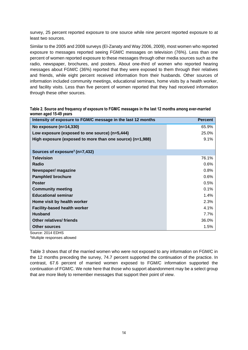survey, 25 percent reported exposure to one source while nine percent reported exposure to at least two sources.

Similar to the 2005 and 2008 surveys (El-Zanaty and Way 2006, 2009), most women who reported exposure to messages reported seeing FGM/C messages on television (76%). Less than one percent of women reported exposure to these messages through other media sources such as the radio, newspaper, brochures, and posters. About one-third of women who reported hearing messages about FGM/C (36%) reported that they were exposed to them through their relatives and friends, while eight percent received information from their husbands. Other sources of information included community meetings, educational seminars, home visits by a health worker, and facility visits. Less than five percent of women reported that they had received information through these other sources.

| Table 2. Source and frequency of exposure to FGM/C messages in the last 12 months among ever-married |  |
|------------------------------------------------------------------------------------------------------|--|
| women aged 15-49 years                                                                               |  |

| Intensity of exposure to FGM/C message in the last 12 months | <b>Percent</b> |
|--------------------------------------------------------------|----------------|
| No exposure $(n=14,330)$                                     | 65.9%          |
| Low exposure (exposed to one source) (n=5,444)               | 25.0%          |
| High exposure (exposed to more than one source) (n=1,988)    | 9.1%           |
|                                                              |                |
| Sources of exposure <sup>†</sup> (n=7,432)                   |                |
| <b>Television</b>                                            | 76.1%          |
| <b>Radio</b>                                                 | 0.6%           |
| Newspaper/ magazine                                          | 0.8%           |
| <b>Pamphlet/ brochure</b>                                    | 0.6%           |
| <b>Poster</b>                                                | 0.5%           |
| <b>Community meeting</b>                                     | 0.1%           |
| <b>Educational seminar</b>                                   | 1.4%           |
| Home visit by health worker                                  | 2.3%           |
| <b>Facility-based health worker</b>                          | 4.1%           |
| <b>Husband</b>                                               | 7.7%           |
| <b>Other relatives/ friends</b>                              | 36.0%          |
| <b>Other sources</b>                                         | 1.5%           |

Source: 2014 EDHS

†Multiple responses allowed

Table 3 shows that of the married women who were not exposed to any information on FGM/C in the 12 months preceding the survey, 74.7 percent supported the continuation of the practice. In contrast, 67.6 percent of married women exposed to FGM/C information supported the continuation of FGM/C. We note here that those who support abandonment may be a select group that are more likely to remember messages that support their point of view.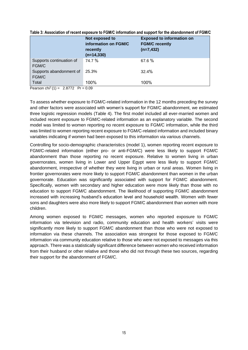|                                                  | Not exposed to<br>information on FGM/C<br>recently<br>$(n=14, 330)$ | <b>Exposed to information on</b><br><b>FGM/C recently</b><br>$(n=7, 432)$ |
|--------------------------------------------------|---------------------------------------------------------------------|---------------------------------------------------------------------------|
| Supports continuation of<br>FGM/C                | 74.7 %                                                              | 67.6%                                                                     |
| Supports abandonment of<br>FGM/C                 | 25.3%                                                               | 32.4%                                                                     |
| Total<br>$\cdot$ $\cdot$ $\cdot$ $\cdot$ $\cdot$ | 100%                                                                | 100%                                                                      |

**Table 3: Association of recent exposure to FGM/C information and support for the abandonment of FGM/C**

Pearson chi<sup>2</sup>(1) = 2.8772 Pr =  $0.09$ 

To assess whether exposure to FGM/C-related information in the 12 months preceding the survey and other factors were associated with women's support for FGM/C abandonment, we estimated three logistic regression models (Table 4). The first model included all ever-married women and included recent exposure to FGM/C-related information as an explanatory variable. The second model was limited to women reporting no recent exposure to FGM/C information, while the third was limited to women reporting recent exposure to FGM/C-related information and included binary variables indicating if women had been exposed to this information via various channels.

Controlling for socio-demographic characteristics (model 1), women reporting recent exposure to FGM/C-related information (either pro- or anti-FGM/C) were less likely to support FGM/C abandonment than those reporting no recent exposure. Relative to women living in urban governorates, women living in Lower and Upper Egypt were less likely to support FGM/C abandonment, irrespective of whether they were living in urban or rural areas. Women living in frontier governorates were more likely to support FGM/C abandonment than women in the urban governorate. Education was significantly associated with support for FGM/C abandonment. Specifically, women with secondary and higher education were more likely than those with no education to support FGM/C abandonment. The likelihood of supporting FGM/C abandonment increased with increasing husband's education level and household wealth. Women with fewer sons and daughters were also more likely to support FGM/C abandonment than women with more children.

Among women exposed to FGM/C messages, women who reported exposure to FGM/C information via television and radio, community education and health workers' visits were significantly more likely to support FGM/C abandonment than those who were not exposed to information via these channels. The association was strongest for those exposed to FGM/C information via community education relative to those who were not exposed to messages via this approach. There was a statistically significant difference between women who received information from their husband or other relative and those who did not through these two sources, regarding their support for the abandonment of FGM/C.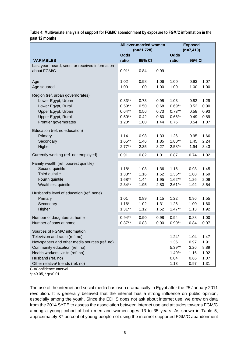|                                                                                                                                                                                                                                                                         | All ever-married women                                  |                                      | <b>Exposed</b>                       |                                                         |                                              |                                              |
|-------------------------------------------------------------------------------------------------------------------------------------------------------------------------------------------------------------------------------------------------------------------------|---------------------------------------------------------|--------------------------------------|--------------------------------------|---------------------------------------------------------|----------------------------------------------|----------------------------------------------|
|                                                                                                                                                                                                                                                                         | $(n=21,728)$                                            |                                      | $(n=7, 419)$                         |                                                         |                                              |                                              |
|                                                                                                                                                                                                                                                                         | <b>Odds</b>                                             |                                      |                                      | <b>Odds</b>                                             |                                              |                                              |
| <b>VARIABLES</b>                                                                                                                                                                                                                                                        | ratio                                                   | 95% CI                               |                                      | ratio                                                   | 95% CI                                       |                                              |
| Last year: heard, seen, or received information<br>about FGM/C                                                                                                                                                                                                          | $0.91*$                                                 | 0.84                                 | 0.99                                 |                                                         |                                              |                                              |
| Age<br>Age squared                                                                                                                                                                                                                                                      | 1.02<br>1.00                                            | 0.98<br>1.00                         | 1.06<br>1.00                         | 1.00<br>1.00                                            | 0.93<br>1.00                                 | 1.07<br>1.00                                 |
| Region (ref. urban governorates)<br>Lower Egypt, Urban<br>Lower Egypt, Rural<br>Upper Egypt, Urban<br>Upper Egypt, Rural<br>Frontier governorates                                                                                                                       | $0.83**$<br>$0.59**$<br>$0.64**$<br>$0.50**$<br>$1.20*$ | 0.73<br>0.50<br>0.56<br>0.42<br>1.00 | 0.95<br>0.68<br>0.73<br>0.60<br>1.44 | 1.03<br>$0.69**$<br>$0.73**$<br>$0.66**$<br>0.76        | 0.82<br>0.52<br>0.58<br>0.49<br>0.54         | 1.29<br>0.90<br>0.93<br>0.89<br>1.07         |
| Education (ref. no education)<br>Primary<br>Secondary<br>Higher                                                                                                                                                                                                         | 1.14<br>$1.65***$<br>$2.77***$                          | 0.98<br>1.46<br>2.35                 | 1.33<br>1.85<br>3.27                 | 1.26<br>$1.80**$<br>$2.58**$                            | 0.95<br>1.45<br>1.94                         | 1.66<br>2.24<br>3.43                         |
| Currently working (ref. not employed)                                                                                                                                                                                                                                   | 0.91                                                    | 0.82                                 | 1.01                                 | 0.87                                                    | 0.74                                         | 1.02                                         |
| Family wealth (ref. poorest quintile)<br>Second quintile<br>Third quintile<br>Fourth quintile<br>Wealthiest quintile                                                                                                                                                    | $1.18*$<br>$1.33**$<br>$1.68**$<br>$2.34**$             | 1.03<br>1.16<br>1.44<br>1.95         | 1.36<br>1.52<br>1.95<br>2.80         | 1.16<br>$1.35***$<br>$1.62**$<br>$2.61**$               | 0.93<br>1.08<br>1.26<br>1.92                 | 1.45<br>1.69<br>2.09<br>3.54                 |
| Husband's level of education (ref. none)<br>Primary<br>Secondary<br>Higher                                                                                                                                                                                              | 1.01<br>$1.16*$<br>$1.31**$                             | 0.89<br>1.02<br>1.12                 | 1.15<br>1.31<br>1.52                 | 1.22<br>1.26<br>$1.47**$                                | 0.96<br>1.00<br>1.13                         | 1.55<br>1.60<br>1.92                         |
| Number of daughters at home<br>Number of sons at home                                                                                                                                                                                                                   | $0.94**$<br>$0.87**$                                    | 0.90<br>0.83                         | 0.98<br>0.90                         | 0.94<br>$0.90**$                                        | 0.88<br>0.84                                 | 1.00<br>0.97                                 |
| Sources of FGM/C information<br>Television and radio (ref. no)<br>Newspapers and other media sources (ref. no)<br>Community education (ref. no)<br>Health workers' visits (ref. no)<br>Husband (ref. no)<br>Other relative/ friends (ref. no)<br>CI=Confidence Interval |                                                         |                                      |                                      | $1.24*$<br>1.36<br>$5.39**$<br>$1.49**$<br>0.84<br>1.13 | 1.04<br>0.97<br>3.26<br>1.16<br>0.66<br>0.97 | 1.47<br>1.91<br>8.89<br>1.92<br>1.07<br>1.31 |

**Table 4: Multivariate analysis of support for FGM/C abandonment by exposure to FGM/C information in the past 12 months**

\*p<0.05, \*\*p<0.01

The use of the internet and social media has risen dramatically in Egypt after the 25 January 2011 revolution. It is generally believed that the internet has a strong influence on public opinion, especially among the youth. Since the EDHS does not ask about internet use, we drew on data from the 2014 SYPE to assess the association between internet use and attitudes towards FGM/C among a young cohort of both men and women ages 13 to 35 years. As shown in Table 5, approximately 37 percent of young people not using the internet supported FGM/C abandonment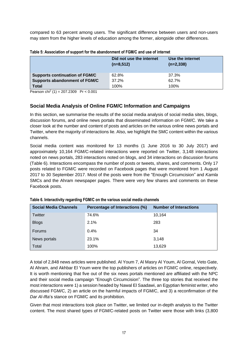compared to 63 percent among users. The significant difference between users and non-users may stem from the higher levels of education among the former, alongside other differences.

| <b>TWAIS AT A ROOD COMPANY OF A REPORT OF A REPORT OF A REPORT OF A REPORT OF A REPORT OF A REPORT OF A REPORT OF </b> |                          |                  |  |  |
|------------------------------------------------------------------------------------------------------------------------|--------------------------|------------------|--|--|
|                                                                                                                        | Did not use the internet | Use the internet |  |  |
|                                                                                                                        | $(n=8,512)$              | $(n=2,338)$      |  |  |
|                                                                                                                        |                          |                  |  |  |
| <b>Supports continuation of FGM/C</b>                                                                                  | 62.8%                    | 37.3%            |  |  |
| <b>Supports abandonment of FGM/C</b>                                                                                   | 37.2%                    | 62.7%            |  |  |
| <b>Total</b>                                                                                                           | 100%                     | 100%             |  |  |

Pearson chi<sup>2</sup> (1) = 207.2309 Pr <  $0.001$ 

# <span id="page-26-0"></span>**Social Media Analysis of Online FGM/C Information and Campaigns**

In this section, we summarise the results of the social media analysis of social media sites, blogs, discussion forums, and online news portals that disseminated information on FGM/C. We take a closer look at the number and content of posts and articles on the various online news portals and Twitter, where the majority of interactions lie. Also, we highlight the SMC content within the various channels.

Social media content was monitored for 13 months (1 June 2016 to 30 July 2017) and approximately 10,164 FGM/C-related interactions were reported on Twitter, 3,148 interactions noted on news portals, 283 interactions noted on blogs, and 34 interactions on discussion forums (Table 6). Interactions encompass the number of posts or tweets, shares, and comments. Only 17 posts related to FGM/C were recorded on Facebook pages that were monitored from 1 August 2017 to 30 September 2017. Most of the posts were from the "Enough Circumcision" and *Kamla* SMCs and the Ahram newspaper pages. There were very few shares and comments on these Facebook posts.

| <b>Social Media Channels</b> | Percentage of Interactions (%) | <b>Number of Interactions</b> |
|------------------------------|--------------------------------|-------------------------------|
| Twitter                      | 74.6%                          | 10,164                        |
| <b>Blogs</b>                 | 2.1%                           | 283                           |
| <b>Forums</b>                | 0.4%                           | 34                            |
| News portals                 | 23.1%                          | 3,148                         |
| Total                        | 100%                           | 13,629                        |

**Table 6. Interactivity regarding FGM/C on the various social media channels**

A total of 2,848 news articles were published. Al Youm 7, Al Masry Al Youm, Al Gornal, Veto Gate, Al Ahram, and Akhbar El Youm were the top publishers of articles on FGM/C online, respectively. It is worth mentioning that five out of the six news portals mentioned are affiliated with the NPC and their social media campaign "Enough Circumcision". The three top stories that received the most interactions were 1) a session headed by Nawal El Saadawi, an Egyptian feminist writer, who discussed FGM/C, 2) an article on the harmful impacts of FGM/C, and 3) a reconfirmation of the *Dar Al-Ifta*'s stance on FGM/C and its prohibition.

Given that most interactions took place on Twitter, we limited our in-depth analysis to the Twitter content. The most shared types of FGM/C-related posts on Twitter were those with links (3,800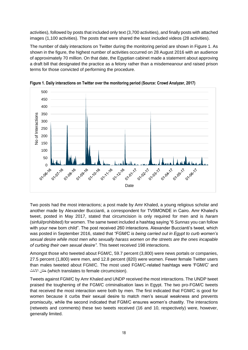activities), followed by posts that included only text (3,700 activities), and finally posts with attached images (1,100 activities). The posts that were shared the least included videos (28 activities).

The number of daily interactions on Twitter during the monitoring period are shown in Figure 1. As shown in the figure, the highest number of activities occurred on 28 August 2016 with an audience of approximately 70 million. On that date, the Egyptian cabinet made a statement about approving a draft bill that designated the practice as a felony rather than a misdemeanour and raised prison terms for those convicted of performing the procedure.



**Figure 1. Daily interactions on Twitter over the monitoring period (Source: Crowd Analyzer, 2017)**

Two posts had the most interactions; a post made by Amr Khaled, a young religious scholar and another made by Alexander Buccianti, a correspondent for TV5MONDE in Cairo. Amr Khaled's tweet, posted in May 2017, stated that circumcision is only required for men and is *haram* (sinful/prohibited) for women. The same tweet included a hashtag saying "6 *Sunnas* you can follow with your new born child". The post received 260 interactions. Alexander Buccianti's tweet, which was posted in September 2016, stated that *"FGM/C is being carried out in Egypt to curb women's sexual desire while most men who sexually harass women on the streets are the ones incapable of curbing their own sexual desire"*. This tweet received 198 interactions.

Amongst those who tweeted about FGM/C, 59.7 percent (3,800) were news portals or companies, 27.5 percent (1,800) were men, and 12.8 percent (820) were women. Fewer female Twitter users than males tweeted about FGM/C. The most used FGM/C-related hashtags were 'FGM/C' and االناث ختان) which translates to female circumcision).

Tweets against FGM/C by Amr Khaled and UNDP received the most interactions. The UNDP tweet praised the toughening of the FGM/C criminalisation laws in Egypt. The two pro-FGM/C tweets that received the most interaction were both by men. The first indicated that FGM/C is good for women because it curbs their sexual desire to match men's sexual weakness and prevents promiscuity, while the second indicated that FGM/C ensures women's chastity. The interactions (retweets and comments) these two tweets received (16 and 10, respectively) were, however, generally limited.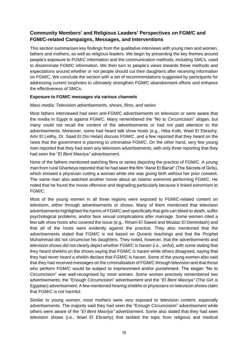# <span id="page-28-0"></span>**Community Members' and Religious Leaders' Perspectives on FGM/C and FGM/C-related Campaigns, Messages, and Interventions**

This section summarises key findings from the qualitative interviews with young men and women, fathers and mothers, as well as religious leaders. We begin by presenting the key themes around people's exposure to FGM/C information and the communication methods, including SMCs, used to disseminate FGM/C information. We then turn to people's views towards these methods and expectations around whether or not people should cut their daughters after receiving information on FGM/C. We conclude the section with a set of recommendations suggested by participants for addressing current loopholes to ultimately strengthen FGM/C abandonment efforts and enhance the effectiveness of SMCs.

#### **Exposure to FGM/C messages via various channels**

#### *Mass media: Television advertisements, shows, films, and series*

Most fathers interviewed had seen anti-FGM/C advertisements on television or were aware that the media in Egypt is against FGM/C. Many remembered the "No to Circumcision" slogan, but many could not recall the content of the advertisements or had not paid attention to the advertisements. Moreover, some had heard talk show hosts (e.g., Hiba Kotb, Wael El Ebrashy, Amr El Leithy, Dr. Saad El Din Helali) discuss FGM/C, and a few reported that they heard on the news that the government is planning to criminalise FGM/C. On the other hand, very few young men reported that they had seen any television advertisements, with only three reporting that they had seen the "*El Bent Masriya"* advertisement.

None of the fathers mentioned watching films or series depicting the practice of FGM/C. A young man from rural Gharbeya reported that he had seen the film "Asrar El Banat" (The Secrets of Girls), which showed a physician cutting a woman while she was giving birth without her prior consent. The same man also watched another movie about an Islamic extremist performing FGM/C. He noted that he found the movie offensive and degrading particularly because it linked extremism to FGM/C.

Most of the young women in all three regions were exposed to FGM/C-related content on television, either through advertisements or shows. Many of them mentioned that television advertisements highlighted the harms of FGM/C and specifically that girls can bleed to death, suffer psychological problems, and/or face sexual complications after marriage. Some women cited a few talk show hosts who covered the issue (e.g., Riham El Saeed and Moataz El Demirdash) and that all of the hosts were evidently against the practice. They also mentioned that the advertisements stated that FGM/C is not based on Quranic teachings and that the Prophet Muhammad did not circumcise his daughters. They noted, however, that the advertisements and television shows did not clearly depict whether FGM/C is *haram* (i.e., sinful), with some stating that they heard sheikhs on the shows saying that FGM/C is *haram* while others disagreed, saying that they had never heard a sheikh declare that FGM/C is *haram*. Some of the young women also said that they had received messages on the criminalisation of FGM/C through television and that those who perform FGM/C would be subject to imprisonment and/or punishment. The slogan "No to Circumcision" was well-recognised by most women. Some women precisely remembered two advertisements; the "Enough Circumcision" advertisement and the "*El Bent Masriya"* (The Girl is Egyptian) advertisement. A few mentioned hearing sheikhs or physicians on television shows claim that FGM/C is not harmful.

Similar to young women, most mothers were very exposed to television content, especially advertisements. The majority said they had seen the "Enough Circumcision" advertisement while others were aware of the "*El Bent Masriya"* advertisement. Some also stated that they had seen television shows (i.e., Wael El Ebrashy) that tackled the topic from religious and medical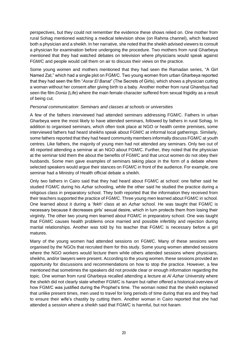perspectives, but they could not remember the evidence these shows relied on. One mother from rural Sohag mentioned watching a medical television show (on Rahma channel), which featured both a physician and a sheikh. In her narrative, she noted that the sheikh advised viewers to consult a physician for examination before undergoing the procedure. Two mothers from rural Gharbeya mentioned that they had watched debates on television where physicians would speak against FGM/C and people would call them on air to discuss their views on the practice.

Some young women and mothers mentioned that they had seen the Ramadan series, "A Girl Named Zat," which had a single plot on FGM/C. Two young women from urban Gharbeya reported that they had seen the film "*Asrar El Banat*" (The Secrets of Girls), which shows a physician cutting a woman without her consent after giving birth to a baby. Another mother from rural Gharebya had seen the film *Donia* (Life) where the main female character suffered from sexual frigidity as a result of being cut.

#### *Personal communication: Seminars and classes at schools or universities*

A few of the fathers interviewed had attended seminars addressing FGM/C. Fathers in urban Gharbeya were the most likely to have attended seminars, followed by fathers in rural Sohag. In addition to organised seminars, which often took place at NGO or health centre premises, some interviewed fathers had heard sheikhs speak about FGM/C at informal local gatherings. Similarly, some fathers reported that they had heard community members informally discuss FGM/C at youth centres. Like fathers, the majority of young men had not attended any seminars. Only two out of 46 reported attending a seminar at an NGO about FGM/C. Further, they noted that the physician at the seminar told them the about the benefits of FGM/C and that uncut women do not obey their husbands. Some men gave examples of seminars taking place in the form of a debate where selected speakers would argue their stances on FGM/C in front of the audience. For example, one seminar had a Ministry of Health official debate a sheikh.

Only two fathers in Cairo said that they had heard about FGM/C at school: one father said he studied FGM/C during his *Azhar* schooling, while the other said he studied the practice during a religious class in preparatory school. They both reported that the information they received from their teachers supported the practice of FGM/C. Three young men learned about FGM/C in school. One learned about it during a '*fekh'* class at an *Azhar* school. He was taught that FGM/C is necessary because it decreases girls' sexual desire, which in turn protects them from losing their virginity. The other two young men learned about FGM/C in preparatory school. One was taught that FGM/C causes health problems once married and possible infertility and rejection during marital relationships. Another was told by his teacher that FGM/C is necessary before a girl matures.

Many of the young women had attended sessions on FGM/C. Many of these sessions were organised by the NGOs that recruited them for this study. Some young women attended sessions where the NGO workers would lecture them while others attended sessions where physicians, sheikhs, and/or lawyers were present. According to the young women, these sessions provided an opportunity for discussions and recommendations on how to stop the practice. However, a few mentioned that sometimes the speakers did not provide clear or enough information regarding the topic. One woman from rural Gharbeya recalled attending a lecture at *Al Azhar* University where the sheikh did not clearly state whether FGM/C is *haram* but rather offered a historical overview of how FGM/C was justified during the Prophet's time. The woman noted that the sheikh explained that unlike present times, men used to travel for long periods of time during that era and they had to ensure their wife's chastity by cutting them. Another woman in Cairo reported that she had attended a session where a sheikh said that FGM/C is harmful, but not *haram*.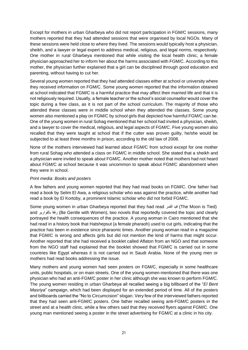Except for mothers in urban Gharbeya who did not report participation in FGM/C sessions, many mothers reported that they had attended sessions that were organised by local NGOs. Many of these sessions were held close to where they lived. The sessions would typically host a physician, sheikh, and a lawyer or legal expert to address medical, religious, and legal norms, respectively. One mother in rural Gharbeya mentioned that while visiting the local health clinic, a female physician approached her to inform her about the harms associated with FGM/C. According to this mother, the physician further explained that a girl can be disciplined through good education and parenting, without having to cut her.

Several young women reported that they had attended classes either at school or university where they received information on FGM/C. Some young women reported that the information obtained at school indicated that FGM/C is a harmful practice that may affect their married life and that it is not religiously required. Usually, a female teacher or the school's social counsellor would cover the topic during a free class, as it is not part of the school curriculum. The majority of those who attended these classes were in middle school when they attended the classes. Some young women also mentioned a play on FGM/C by school girls that depicted how harmful FGM/C can be. One of the young women in rural Sohag mentioned that her school had invited a physician, sheikh, and a lawyer to cover the medical, religious, and legal aspects of FGM/C. Five young women also recalled that they were taught at school that if the cutter was proven guilty, he/she would be subjected to at least three months in prison, according to the old law of 2008.

None of the mothers interviewed had learned about FGM/C from school except for one mother from rural Sohag who attended a class on FGM/C in middle school. She stated that a sheikh and a physician were invited to speak about FGM/C. Another mother noted that mothers had not heard about FGM/C at school because it was uncommon to speak about FGM/C abandonment when they were in school.

# *Print media: Books and posters*

A few fathers and young women reported that they had read books on FGM/C. One father had read a book by Selim El Awa, a religious scholar who was against the practice, while another had read a book by El Kortoby, a prominent Islamic scholar who did not forbid FGM/C.

Some young women in urban Gharbeya reported that they had read القمر قيد) The Moon is Tied) and بالقوارير رفقا) Be Gentle with Women), two novels that reportedly covered the topic and clearly portrayed the health consequences of the practice. A young woman in Cairo mentioned that she had read in a history book that Hatshepsut (a female pharaoh) used to cut girls, indicating that the practice has been in existence since pharaonic times. Another young woman read in a magazine that FGM/C is wrong and affects girls but did not mention the kind of harms that might occur. Another reported that she had received a booklet called Aflaton from an NGO and that someone from the NGO staff had explained that the booklet showed that FGM/C is carried out in some countries like Egypt whereas it is not carried out in Saudi Arabia. None of the young men or mothers had read books addressing the issue.

Many mothers and young women had seen posters on FGM/C, especially in some healthcare units, public hospitals, or on main streets. One of the young women mentioned that there was one physician who had an anti-FGM/C poster in her clinic although she was known to perform FGM/C. The young women residing in urban Gharbeya all recalled seeing a big billboard of the "*El Bent Masriya*" campaign, which had been displayed for an extended period of time. All of the posters and billboards carried the "No to Circumcision" slogan. Very few of the interviewed fathers reported that they had seen anti-FGM/C posters. One father recalled seeing anti-FGM/C posters in the street and at a health clinic, while a few others said that they received flyers against FGM/C. One young man mentioned seeing a poster in the street advertising for FGM/C at a clinic in his city.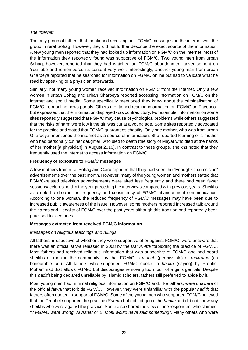# *The internet*

The only group of fathers that mentioned receiving anti-FGM/C messages on the internet was the group in rural Sohag. However, they did not further describe the exact source of the information. A few young men reported that they had looked up information on FGM/C on the internet. Most of the information they reportedly found was supportive of FGM/C. Two young men from urban Sohag, however, reported that they had watched an FGM/C abandonment advertisement on YouTube and remembered its content very well. Interestingly, another young man from urban Gharbeya reported that he searched for information on FGM/C online but had to validate what he read by speaking to a physician afterwards.

Similarly, not many young women received information on FGM/C from the internet. Only a few women in urban Sohag and urban Gharbeya reported accessing information on FGM/C on the internet and social media. Some specifically mentioned they knew about the criminalisation of FGM/C from online news portals. Others mentioned reading information on FGM/C on Facebook but expressed that the information displayed was contradictory. For example, information on some sites reportedly suggested that FGM/C may cause psychological problems while others suggested that the risks of harm were low if the girl was cut at a young age. Some sites reportedly advocated for the practice and stated that FGM/C guarantees chastity. Only one mother, who was from urban Gharbeya, mentioned the internet as a source of information. She reported learning of a mother who had personally cut her daughter, who bled to death (the story of Mayar who died at the hands of her mother [a physician] in August 2016). In contrast to these groups, sheikhs noted that they frequently used the internet to access information on FGM/C.

# **Frequency of exposure to FGM/C messages**

A few mothers from rural Sohag and Cairo reported that they had seen the "Enough Circumcision" advertisements over the past month. However, many of the young women and mothers stated that FGM/C-related television advertisements were aired less frequently and there had been fewer sessions/lectures held in the year preceding the interviews compared with previous years. Sheikhs also noted a drop in the frequency and consistency of FGM/C abandonment communication. According to one woman, the reduced frequency of FGM/C messages may have been due to increased public awareness of the issue. However, some mothers reported increased talk around the harms and illegality of FGM/C over the past years although this tradition had reportedly been practised for centuries.

# **Messages extracted from received FGM/C information**

# *Messages on religious teachings and rulings*

All fathers, irrespective of whether they were supportive of or against FGM/C, were unaware that there was an official *fatwa* released in 2008 by the *Dar Al-Ifta* forbidding the practice of FGM/C. Most fathers had received religious information that was supportive of FGM/C and had heard sheikhs or men in the community say that FGM/C is *mobah* (permissible) or *makrama* (an honourable act). All fathers who supported FGM/C quoted a *hadith* (saying) by Prophet Muhammad that allows FGM/C but discourages removing too much of a girl's genitals. Despite this *hadith* being declared unreliable by Islamic scholars, fathers still preferred to abide by it.

Most young men had minimal religious information on FGM/C and, like fathers, were unaware of the official *fatwa* that forbids FGM/C. However, they were unfamiliar with the popular *hadith* that fathers often quoted in support of FGM/C. Some of the young men who supported FGM/C believed that the Prophet supported the practice (*Sunna*) but did not quote the *hadith* and did not know any sheikhs who were against the practice. Some also shared the view of one respondent who claimed, *"if FGM/C were wrong, Al Azhar or El Mofti would have said something"*. Many others who were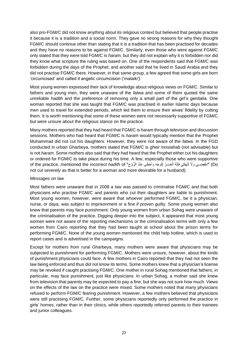also pro-FGM/C did not know anything about its religious context but believed that people practise it because it is a tradition and a social norm. They gave no strong reasons for why they thought FGM/C should continue other than stating that it is a tradition that has been practised for decades and they have no reasons to be against FGM/C. Similarly, even those who were against FGM/C only stated that they were told FGM/C is *haram,* but they did not explain why it is forbidden nor did they know what scripture the ruling was based on. One of the respondents said that FGM/C was forbidden during the days of the Prophet, and another said that he lived in Saudi Arabia and they did not practise FGM/C there. However, in that same group, a few agreed that some girls are born 'circumcised' and called it angelic circumcision ('*malaiki')*.

Most young women expressed their lack of knowledge about religious views on FGM/C. Similar to fathers and young men, they were unaware of the *fatwa* and some of them quoted the same unreliable *hadith* and the preference of removing only a small part of the girl's genitalia. One woman reported that she was taught that FGM/C was practised in earlier Islamic days because men used to travel for extended periods, which led them to ensure their wives' fidelity by cutting them. It is worth mentioning that some of these women were not necessarily supportive of FGM/C but were unsure about the religious stance on the practice.

Many mothers reported that they had heard that FGM/C is *haram* through television and discussion sessions. Mothers who had heard that FGM/C is *haram* would typically mention that the Prophet Muhammad did not cut his daughters. However, they were not aware of the *fatwa*. In the FGD conducted in urban Gharbeya, mothers stated that FGM/C is *gheir mostahab* (not advisable) but is not *haram*. Some mothers also said that they had heard that the Prophet either cut his daughters or ordered for FGM/C to take place during his time. A few, especially those who were supportive Do "الْخَفِضِـــي وَلَا تَنْهَكي فَإِنَّهُ أَنْضَــرُ لِلوَجْهِ وأَحْظى عِنْدَ الزَّوْجِ" of the practice, mentioned the incorrect *hadith* of ׀<sub>֡</sub> ِ not cut *severely* as that is better for a woman and more desirable for a husband).

#### *Messages on law*

Most fathers were unaware that in 2008 a law was passed to criminalise FGM/C and that both physicians who practise FGM/C and parents who cut their daughters are liable to punishment. Most young women, however, were aware that whoever performed FGM/C, be it a physician, nurse, or daya, was subject to imprisonment or a fine if proven guilty. Some young women also knew that parents may face punishment. Only young women from urban Sohag were unaware of the criminalisation of the practice. Digging deeper into the subject, it appeared that most young women were not aware of the reporting mechanisms or the criminalisation terms with only a few women from Cairo reporting that they had been taught at school about the prison terms for performing FGM/C. None of the young women mentioned the child help hotline, which is used to report cases and is advertised in the campaigns.

Except for mothers from rural Gharbeya, many mothers were aware that physicians may be subjected to punishment for performing FGM/C. Mothers were unsure, however, about the kinds of punishment physicians could face. A few mothers in Cairo reported that they had not seen the law being enforced and thus did not know its terms. Some mothers knew that a physician's license may be revoked if caught practising FGM/C. One mother in rural Sohag mentioned that fathers, in particular, may face punishment, just like physicians. In urban Sohag, a mother said she knew from television that parents may be expected to pay a fine, but she was not sure how much. Views on the effects of the law on the practice were mixed. Some mothers noted that many physicians refused to perform FGM/C fearing punishment. However, a few mothers believed that physicians were still practising FGM/C. Further, some physicians reportedly only performed the practice in girls' homes, rather than in their clinics, while others reportedly referred parents to their trainees and junior colleagues.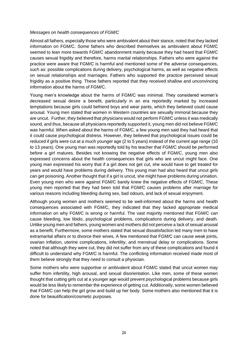#### *Messages on health consequences of FGM/C*

Almost all fathers, especially those who were ambivalent about their stance, noted that they lacked information on FGM/C. Some fathers who described themselves as ambivalent about FGM/C seemed to lean more towards FGM/C abandonment mainly because they had heard that FGM/C causes sexual frigidity and therefore, harms marital relationships. Fathers who were against the practice were aware that FGM/C is harmful and mentioned some of the adverse consequences, such as: possible complications during delivery, psychological harms, as well as negative effects on sexual relationships and marriages. Fathers who supported the practice perceived sexual frigidity as a positive thing. These fathers reported that they received shallow and unconvincing information about the harms of FGM/C.

Young men's knowledge about the harms of FGM/C was minimal. They considered women's decreased sexual desire a benefit, particularly in an era reportedly marked by increased temptations because girls could befriend boys and wear pants, which they believed could cause arousal. Young men stated that women in Western countries are sexually immoral because they are uncut. Further, they believed that physicians would not perform FGM/C unless it was medically sound, and thus, because all physicians reportedly supported it, young men did not believe FGM/C was harmful. When asked about the harms of FGM/C, a few young men said they had heard that it could cause psychological distress. However, they believed that psychological issues could be reduced if girls were cut at a much younger age (2 to 5 years) instead of the current age range (10 to 13 years). One young man was reportedly told by his teacher that FGM/C should be performed before a girl matures. Besides not knowing the negative effects of FGM/C, young men also expressed concerns about the health consequences that girls who are uncut might face. One young man expressed his worry that if a girl does not get cut, she would have to get treated for years and would have problems during delivery. This young man had also heard that uncut girls can get poisoning. Another thought that if a girl is uncut, she might have problems during urination. Even young men who were against FGM/C barely knew the negative effects of FGM/C. These young men reported that they had been told that FGM/C causes problems after marriage for various reasons including bleeding during sex, bad odours, and lack of sexual enjoyment.

Although young women and mothers seemed to be well-informed about the harms and health consequences associated with FGM/C, they indicated that they lacked appropriate medical information on why FGM/C is wrong or harmful. The vast majority mentioned that FGM/C can cause bleeding, low libido, psychological problems, complications during delivery, and death. Unlike young men and fathers, young women and mothers did not perceive a lack of sexual arousal as a benefit. Furthermore, some mothers stated that sexual dissatisfaction led many men to have extramarital affairs or to divorce their wives. A few mentioned that FGM/C can cause weak joints, ovarian inflation, uterine complications, infertility, and menstrual delay or complications. Some noted that although they were cut, they did not suffer from any of these complications and found it difficult to understand why FGM/C is harmful. The conflicting information received made most of them believe strongly that they need to consult a physician.

Some mothers who were supportive or ambivalent about FGM/C stated that uncut women may suffer from infertility, high arousal, and sexual disorientation. Like men, some of these women thought that cutting girls cut at a younger age would prevent psychological problems because girls would be less likely to remember the experience of getting cut. Additionally, some women believed that FGM/C can help the girl grow and build up her body. Some mothers also mentioned that it is done for beautification/cosmetic purposes.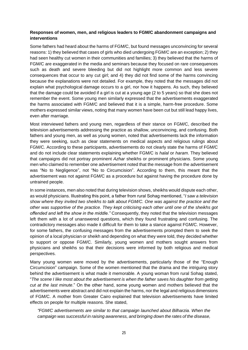# **Responses of women, men, and religious leaders to FGM/C abandonment campaigns and interventions**

Some fathers had heard about the harms of FGM/C, but found messages unconvincing for several reasons: 1) they believed that cases of girls who died undergoing FGM/C are an exception; 2) they had seen healthy cut women in their communities and families; 3) they believed that the harms of FGM/C are exaggerated in the media and seminars because they focused on rare consequences such as death and severe bleeding but did not highlight more common and less severe consequences that occur to any cut girl; and 4) they did not find some of the harms convincing because the explanations were not detailed. For example, they noted that the messages did not explain what psychological damage occurs to a girl, nor how it happens. As such, they believed that the damage could be avoided if a girl is cut at a young age (2 to 5 years) so that she does not remember the event. Some young men similarly expressed that the advertisements exaggerated the harms associated with FGM/C and believed that it is a simple, harm-free procedure. Some mothers expressed similar views, noting that many women have been cut but still lead happy lives, even after marriage.

Most interviewed fathers and young men, regardless of their stance on FGM/C, described the television advertisements addressing the practice as shallow, unconvincing, and confusing. Both fathers and young men, as well as young women, noted that advertisements lack the information they were seeking, such as clear statements on medical aspects and religious rulings about FGM/C. According to these participants, advertisements do not clearly state the harms of FGM/C and do not include clear statements explaining whether FGM/C is *halal* or *haram*. They believed that campaigns did not portray prominent *Azhar* sheikhs or prominent physicians. Some young men who claimed to remember one advertisement noted that the message from the advertisement was "No to Negligence", not "No to Circumcision". According to them, this meant that the advertisement was not against FGM/C as a procedure but against having the procedure done by untrained people.

In some instances, men also noted that during television shows, sheikhs would dispute each other, as would physicians. Illustrating this point, a father from rural Sohag mentioned, "*I saw a television show where they invited two sheikhs to talk about FGM/C. One was against the practice and the other was supportive of the practice. They kept criticising each other until one of the sheikhs got offended and left the show in the middle."* Consequently, they noted that the television messages left them with a lot of unanswered questions, which they found frustrating and confusing. The contradictory messages also made it difficult for them to take a stance against FGM/C. However, for some fathers, the confusing messages from the advertisements prompted them to seek the opinion of a local physician or sheikh and depending on what they were told, they decided whether to support or oppose FGM/C. Similarly, young women and mothers sought answers from physicians and sheikhs so that their decisions were informed by both religious and medical perspectives.

Many young women were moved by the advertisements, particularly those of the "Enough Circumcision" campaign. Some of the women mentioned that the drama and the intriguing story behind the advertisement is what made it memorable. A young woman from rural Sohag stated, "*The scene I like most about the advertisement is when the father saves his daughter from getting cut at the last minute*." On the other hand, some young women and mothers believed that the advertisements were abstract and did not explain the harms, nor the legal and religious dimensions of FGM/C. A mother from Greater Cairo explained that television advertisements have limited effects on people for multiple reasons. She stated,

*"FGM/C advertisements are similar to that campaign launched about Bilharzia. When the campaign was successful in raising awareness, and bringing down the rates of the disease,*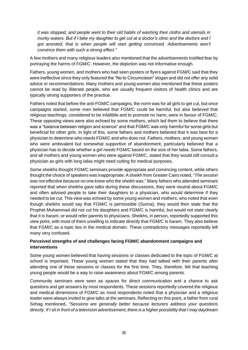*it was stopped, and people went to their old habits of washing their cloths and utensils in murky waters. But if I take my daughter to get cut at a doctor's clinic and the doctors and I got arrested, that is when people will start getting convinced. Advertisements won't convince them with such a strong effect."*

A few mothers and many religious leaders also mentioned that the advertisements instilled fear by portraying the harms of FGM/C. However, the depiction was not informative enough.

Fathers, young women, and mothers who had seen posters or flyers against FGM/C said that they were ineffective since they only featured the "No to Circumcision" slogan and did not offer any solid advice or recommendations. Many mothers and young women also mentioned that these posters cannot be read by illiterate people, who are usually frequent visitors of health clinics and are typically strong supporters of the practice.

Fathers noted that before the anti-FGM/C campaigns, the norm was for all girls to get cut, but once campaigns started, some men believed that FGM/C could be harmful, but also believed that religious teachings, considered to be infallible and to promote no harm, were in favour of FGM/C. These opposing views were also echoed by some mothers, which led them to believe that there was a "balance between religion and science" and that FGM/C was only harmful for some girls but beneficial for other girls. In light of this, some fathers and mothers believed that it was best for a physician to determine who needs FGM/C and who does not. Fathers, mothers, and young women who were ambivalent but somewhat supportive of abandonment, particularly believed that a physician has to decide whether a girl *needs* FGM/C based on the size of her labia. Some fathers, and all mothers and young women who were against FGM/C, stated that they would still consult a physician as girls with long labia might need cutting for medical purposes.

Some sheikhs thought FGM/C seminars provide appropriate and convincing content, while others thought the choice of speakers was inappropriate. A sheikh from Greater Cairo noted, "*The session was not effective because no one knew who the sheikh was*." Many fathers who attended seminars reported that when sheikhs gave talks during these discussions, they were neutral about FGM/C and often advised people to take their daughters to a physician, who would determine if they needed to be cut. This view was echoed by some young women and mothers, who noted that even though sheikhs would say that FGM/C is permissible (*Sunna*), they would then state that the Prophet Muhammad did not cut his daughters and FGM/C is harmful, but would not state clearly that it is *haram,* or would refer parents to physicians*.* Sheikhs, in person, reportedly supported this view point, with most of them unwilling to indicate directly that FGM/C is *haram*. They also believe that FGM/C as a topic lies in the medical domain. These contradictory messages reportedly left many very confused.

# **Perceived strengths of and challenges facing FGM/C abandonment campaigns and interventions**

Some young women believed that having sessions or classes dedicated to the topic of FGM/C at school is important. These young women stated that they had talked with their parents after attending one of these sessions or classes for the first time. They, therefore, felt that teaching young people would be a way to raise awareness about FGM/C among parents.

Community seminars were seen as spaces for direct communication and a chance to ask questions and get answers by most respondents. These sessions reportedly covered the religious and medical dimensions of FGM/C as most respondents noted that a physician and a religious leader were always invited to give talks at the seminars. Reflecting on this point, a father from rural Sohag mentioned, *"Sessions are generally better because lecturers address your questions directly. If I sit in front of a television advertisement, there is a higher possibility that I may daydream*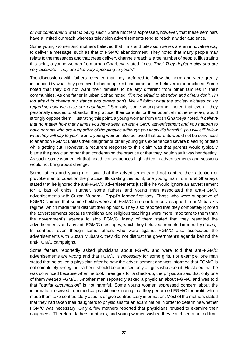*or not comprehend what is being said."* Some mothers expressed, however, that these seminars have a limited outreach whereas television advertisements tend to reach a wider audience.

Some young women and mothers believed that films and television series are an innovative way to deliver a message, such as that of FGM/C abandonment. They noted that many people may relate to the messages and that these delivery channels reach a large number of people. Illustrating this point, a young woman from urban Gharbeya stated, "*Yes, films! They depict reality and are very accurate. They are also very appealing to youth*."

The discussions with fathers revealed that they preferred to follow the norm and were greatly influenced by what they perceived other people in their communities believed in or practiced. Some noted that they did not want their families to be any different from other families in their communities. As one father in urban Sohaq noted, *"I'm too afraid to abandon and others don't. I'm too afraid to change my stance and others don't. We all follow what the society dictates on us regarding how we raise our daughters."* Similarly, some young women noted that even if they personally decided to abandon the practice, their parents, or their potential mothers-in-law, would strongly oppose them. Illustrating this point, a young woman from urban Gharbeya noted, "*I believe that no matter how many times you have seen an anti-FGM/C advertisement and you happen to have parents who are supportive of the practice although you know it's harmful, you will still follow what they will say to you*". Some young women also believed that parents would not be convinced to abandon FGM/C unless their daughter or other young girls experienced severe bleeding or died while getting cut. However, a recurrent response to this claim was that parents would typically blame the physician rather than condemning the practice or that they would say it was her destiny. As such, some women felt that health consequences highlighted in advertisements and sessions would not bring about change.

Some fathers and young men said that the advertisements did not capture their attention or provoke men to question the practice. Illustrating this point, one young man from rural Gharbeya stated that he ignored the anti-FGM/C advertisements just like he would ignore an advertisement for a bag of chips. Further, some fathers and young men associated the anti-FGM/C advertisements with Suzan Mubarak, Egypt's former first lady. Those who were supportive of FGM/C claimed that some sheikhs were anti-FGM/C in order to receive support from Mubarak's regime, which made them distrust their opinions. They also reported that they completely ignored the advertisements because traditions and religious teachings were more important to them than the government's agenda to stop FGM/C. Many of them stated that they resented the advertisements and any anti-FGM/C messages, which they believed promoted immorality (*fasad).*  In contrast, even though some fathers who were against FGM/C also associated the advertisements with Suzan Mubarak, they did not distrust the government's agenda behind the anti-FGM/C campaigns.

Some fathers reportedly asked physicians about FGM/C and were told that anti-FGM/C advertisements are *wrong* and that FGM/C is *necessary* for some girls. For example, one man stated that he asked a physician after he saw the advertisement and was informed that FGM/C is not completely *wrong*, but rather it should be practiced only on girls who *need* it. He stated that he was convinced because when he took three girls for a check-up, the physician said that only one of them *needed* FGM/C. Another man reportedly asked a physician about FGM/C and was told that "*partial circumcision*" is not harmful. Some young women expressed concern about the information received from medical practitioners noting that they performed FGM/C for profit, which made them take contradictory actions or give contradictory information. Most of the mothers stated that they had taken their daughters to physicians for an examination in order to determine whether FGM/C was necessary. Only a few mothers reported that physicians refused to examine their daughters. Therefore, fathers, mothers, and young women wished they could see a united front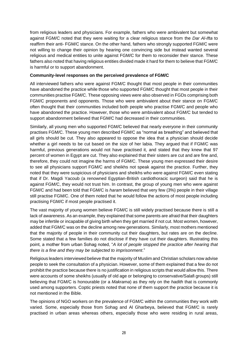from religious leaders and physicians. For example, fathers who were ambivalent but somewhat against FGM/C noted that they were waiting for a clear religious stance from the *Dar Al-Ifta* to reaffirm their anti- FGM/C stance. On the other hand, fathers who strongly supported FGM/C were not willing to change their opinion by hearing one convincing side but instead wanted several religious and medical entities to unite against FGM/C for them to reconsider their stance. These fathers also noted that having religious entities divided made it hard for them to believe that FGM/C is harmful or to support abandonment.

# **Community-level responses on the perceived prevalence of FGM/C**

All interviewed fathers who were against FGM/C thought that most people in their communities have abandoned the practice while those who supported FGM/C thought that most people in their communities practise FGM/C. These opposing views were also observed in FGDs comprising both FGM/C proponents and opponents. Those who were ambivalent about their stance on FGM/C often thought that their communities included both people who practise FGM/C and people who have abandoned the practice. However, those who were ambivalent about FGM/C but tended to support abandonment believed that FGM/C had decreased in their communities.

Similarly, all young men who supported FGM/C believed that nearly everyone in their community practises FGM/C. These young men described FGM/C as "normal as breathing" and believed that all girls should be cut. They also appeared to oppose the idea that a physician should decide whether a girl needs to be cut based on the size of her labia. They argued that if FGM/C was harmful, previous generations would not have practised it, and stated that they knew that 97 percent of women in Egypt are cut. They also explained that their sisters are cut and are fine and, therefore, they could not imagine the harms of FGM/C. These young men expressed their desire to see all physicians support FGM/C and sheikhs not speak against the practice. Further, they noted that they were suspicious of physicians and sheikhs who were against FGM/C even stating that if Dr. Magdi Yacoub (a renowned Egyptian-British cardiothoracic surgeon) said that he is against FGM/C, they would not trust him. In contrast, the group of young men who were against FGM/C and had been told that FGM/C is *haram* believed that very few (3%) people in their village still practise FGM/C. One of them noted that he would follow the actions of most people including practising FGM/C if most people practised it.

The vast majority of young women believe FGM/C is still widely practised because there is still a lack of awareness. As an example, they explained that some parents are afraid that their daughters may be infertile or incapable of giving birth when they get married if not cut. Most women, however, added that FGM/C was on the decline among new generations. Similarly, most mothers mentioned that the majority of people in their community cut their daughters, but rates are on the decline. Some stated that a few families do not disclose if they have cut their daughters. Illustrating this point, a mother from urban Sohag noted, "*A lot of people stopped the practice after hearing that there is a fine and they may be subjected to imprisonment*."

Religious leaders interviewed believe that the majority of Muslim and Christian scholars now advise people to seek the consultation of a physician. However, some of them explained that a few do not prohibit the practice because there is no justification in religious scripts that would allow this. There were accounts of some sheikhs (usually of old age or belonging to conservative/Salafi groups) still believing that FGM/C is honourable (or a *Makrama*) as they rely on the *hadith* that is commonly used among supporters. Coptic priests noted that none of them support the practice because it is not mentioned in the Bible.

The opinions of NGO workers on the prevalence of FGM/C within the communities they work with varied. Some, especially those from Sohag and Al Gharbeya, believed that FGM/C is rarely practised in urban areas whereas others, especially those who were residing in rural areas,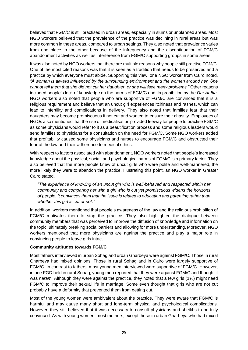believed that FGM/C is still practised in urban areas, especially in slums or unplanned areas. Most NGO workers believed that the prevalence of the practice was declining in rural areas but was more common in these areas, compared to urban settings. They also noted that prevalence varies from one place to the other because of the infrequency and the discontinuation of FGM/C abandonment activities as well as interference from FGM/C supporting groups in some areas.

It was also noted by NGO workers that there are multiple reasons why people still practise FGM/C. One of the most cited reasons was that it is seen as a tradition that needs to be preserved and a practice by which everyone must abide. Supporting this view, one NGO worker from Cairo noted, *"A woman is always influenced by the surrounding environment and the women around her. She cannot tell them that she did not cut her daughter, or she will face many problems."* Other reasons included people's lack of knowledge on the harms of FGM/C and its prohibition by the *Dar Al-Ifta*. NGO workers also noted that people who are supportive of FGM/C are convinced that it is a religious requirement and believe that an uncut girl experiences itchiness and rashes, which can lead to infertility and complications in delivery. They also noted that families fear that their daughters may become promiscuous if not cut and wanted to ensure their chastity. Employees of NGOs also mentioned that the rise of medicalisation provided leeway for people to practise FGM/C as some physicians would refer to it as a beautification process and some religious leaders would send families to physicians for a consultation on the need for FGM/C. Some NGO workers added that profitability caused some physicians and nurses to encourage FGM/C and obstructed their fear of the law and their adherence to medical ethics.

With respect to factors associated with abandonment, NGO workers noted that people's increased knowledge about the physical, social, and psychological harms of FGM/C is a primary factor. They also believed that the more people knew of uncut girls who were polite and well-mannered, the more likely they were to abandon the practice. Illustrating this point, an NGO worker in Greater Cairo stated,

*"The experience of knowing of an uncut girl who is well-behaved and respected within her community and comparing her with a girl who is cut yet promiscuous widens the horizons of people. It convinces them that the issue is related to education and parenting rather than whether this girl is cut or not."*

In addition, workers mentioned that people's awareness of the law and the religious prohibition of FGM/C motivates them to stop the practice. They also highlighted the dialogue between community members that was perceived to improve the diffusion of knowledge and information on the topic, ultimately breaking social barriers and allowing for more understanding. Moreover, NGO workers mentioned that more physicians are against the practice and play a major role in convincing people to leave girls intact.

# **Community attitudes towards FGM/C**

Most fathers interviewed in urban Sohag and urban Gharbeya were against FGM/C. Those in rural Gharbeya had mixed opinions. Those in rural Sohag and in Cairo were largely supportive of FGM/C. In contrast to fathers, most young men interviewed were supportive of FGM/C. However, in one FGD held in rural Sohag, young men reported that they were against FGM/C and thought it was *haram.* Although they were against the practice, they noted that a few girls (1%) might need FGM/C to improve their sexual life in marriage. Some even thought that girls who are not cut probably have a deformity that prevented them from getting cut.

Most of the young women were ambivalent about the practice. They were aware that FGM/C is harmful and may cause many short and long-term physical and psychological complications. However, they still believed that it was necessary to consult physicians and sheikhs to be fully convinced. As with young women, most mothers, except those in urban Gharbeya who had mixed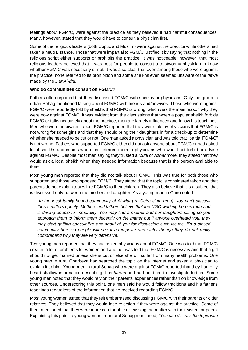feelings about FGM/C, were against the practice as they believed it had harmful consequences. Many, however, stated that they would have to consult a physician first.

Some of the religious leaders (both Coptic and Muslim) were against the practice while others had taken a neutral stance. Those that were impartial to FGM/C justified it by saying that nothing in the religious script either supports or prohibits the practice. It was noticeable, however, that most religious leaders believed that it was best for people to consult a trustworthy physician to know whether FGM/C was necessary or not. It was also clear that even among those who were against the practice, none referred to its prohibition and some sheikhs even seemed unaware of the *fatwa* made by the *Dar Al-Ifta*.

# **Who do communities consult on FGM/C?**

Fathers often reported that they discussed FGM/C with sheikh*s* or physicians. Only the group in urban Sohag mentioned talking about FGM/C with friends and/or wives. Those who were against FGM/C were reportedly told by sheikhs that FGM/C is wrong, which was the main reason why they were now against FGM/C. It was evident from the discussions that when a popular sheikh forbids FGM/C or talks negatively about the practice, men are largely influenced and follow his teachings. Men who were ambivalent about FGM/C reported that they were told by physicians that FGM/C is not wrong for some girls and that they should bring their daughters in for a check-up to determine whether she needed to be cut or not. One man asked a physician and was told that "partial FGM/C" is not wrong. Fathers who supported FGM/C either did not ask anyone about FGM/C or had asked local sheikhs and imams who often referred them to physicians who would not forbid or advise against FGM/C. Despite most men saying they trusted a *Mufti* or *Azhar* more, they stated that they would ask a local sheikh when they needed information because that is the person available to them.

Most young men reported that they did not talk about FGM/C. This was true for both those who supported and those who opposed FGM/C. They stated that the topic is considered taboo and that parents do not explain topics like FGM/C to their children. They also believe that it is a subject that is discussed only between the mother and daughter. As a young man in Cairo noted:

*"In the local family bound community of Al Marg (a Cairo slum area), you can't discuss these matters openly. Mothers and fathers believe that the NGO working here is rude and is driving people to immorality. You may find a mother and her daughters sitting so you approach them to inform them decently on the matter but if anyone overheard you, they may start getting speculative and shout at you for discussing such issues. It's a closed community here so people will see it as impolite and sinful though they do not really comprehend why they are very defensive."*

Two young men reported that they had asked physicians about FGM/C. One was told that FGM/C creates a lot of problems for women and another was told that FGM/C is necessary and that a girl should not get married unless she is cut or else she will suffer from many health problems. One young man in rural Gharbeya had searched the topic on the internet and asked a physician to explain it to him. Young men in rural Sohag who were against FGM/C reported that they had only heard shallow information describing it as *haram* and had not tried to investigate further. Some young men noted that they would rely on their parents' experiences rather than on knowledge from other sources. Underscoring this point, one man said he would follow traditions and his father's teachings regardless of the information that he received regarding FGM/C.

Most young women stated that they felt embarrassed discussing FGM/C with their parents or older relatives. They believed that they would face rejection if they were against the practice. Some of them mentioned that they were more comfortable discussing the matter with their sisters or peers. Explaining this point, a young woman from rural Sohag mentioned, "*You can discuss the topic with*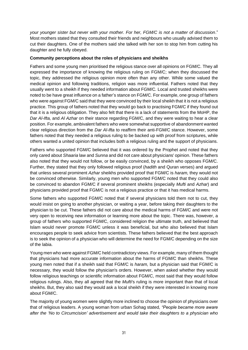*your younger sister but never with your mother. For her, FGM/C is not a matter of discussion*." Most mothers stated that they consulted their friends and neighbours who usually advised them to cut their daughters. One of the mothers said she talked with her son to stop him from cutting his daughter and he fully obeyed.

# **Community perceptions about the roles of physicians and sheikhs**

Fathers and some young men prioritised the religious stance over all opinions on FGM/C. They all expressed the importance of knowing the religious ruling on FGM/C; when they discussed the topic, they addressed the religious opinion more often than any other. While some valued the medical opinion and following traditions, religion was more influential. Fathers noted that they usually went to a sheikh if they needed information about FGM/C*.* Local and trusted sheikhs were noted to be have great influence on a father's stance on FGM/C. For example, one group of fathers who were against FGM/C said that they were convinced by their local sheikh that it is not a religious practice. This group of fathers noted that they would go back to practising FGM/C if they found out that it is a religious obligation. They also felt that there is a lack of statements from the MoHP, the *Dar Al-Ifta,* and *Al Azhar* on their stance regarding FGM/C, and they were waiting to hear a clear position. For example, ambivalent fathers who were somewhat supportive of abandonment wanted clear religious direction from the *Dar Al-Ifta* to reaffirm their anti-FGM/C stance. However, some fathers noted that they needed a religious ruling to be backed up with proof from scriptures, while others wanted a united opinion that includes both a religious ruling and the support of physicians.

Fathers who supported FGM/C believed that it was ordered by the Prophet and noted that they only cared about *Shaaria* law and *Sunna* and did not care about physicians' opinion. These fathers also noted that they would not follow, or be easily convinced, by a sheikh who opposes FGM/C. Further, they stated that they only followed religious proof (*hadith* and Quran verses) and argued that unless several prominent *Azhar* sheikhs provided proof that FGM/C is *haram,* they would not be convinced otherwise. Similarly, young men who supported FGM/C noted that they could also be convinced to abandon FGM/C if several prominent sheikhs (especially *Mufti* and *Azhar*) and physicians provided proof that FGM/C is not a religious practice or that it has medical harms.

Some fathers who supported FGM/C noted that if several physicians told them not to cut, they would insist on going to another physician, or waiting a year, before taking their daughters to the physician to be cut. These fathers did not care about the medical harms of FGM/C and were not very open to receiving new information or learning more about the topic. There was, however, a group of fathers who supported FGM/C, considered religion the ultimate truth, and believed that Islam would never promote FGM/C unless it was beneficial, but who also believed that Islam encourages people to seek advice from scientists. These fathers believed that the best approach is to seek the opinion of a physician who will determine the need for FGM/C depending on the size of the labia.

Young men who were against FGM/C held contradictory views. For example, many of them thought that physicians had more accurate information about the harms of FGM/C than sheikhs. These young men noted that if a sheikh said that FGM/C is *haram,* but a physician said that FGM/C is necessary, they would follow the physician's orders. However, when asked whether they would follow religious teachings or scientific information about FGM/C, most said that they would follow religious rulings. Also, they all agreed that the *Mufti*'s ruling is more important than that of local sheikhs. But, they also said they would ask a local sheikh if they were interested in knowing more about FGM/C.

The majority of young women were slightly more inclined to choose the opinion of physicians over that of religious leaders. A young woman from urban Sohag stated*, "People became more aware after the 'No to Circumcision' advertisement and would take their daughters to a physician who*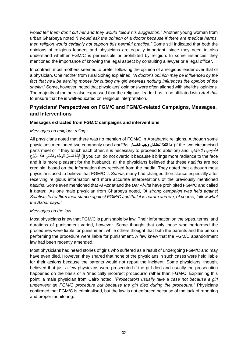*would tell them don't cut her and they would follow his suggestion."* Another young woman from urban Gharbeya noted *"I would ask the opinion of a doctor because if there are medical harms, then religion would certainly not support this harmful practice."* Some still indicated that both the opinions of religious leaders and physicians are equally important, since they need to also understand whether FGM/C is permissible or prohibited by religion. In some instances, they mentioned the importance of knowing the legal aspect by consulting a lawyer or a legal officer.

In contrast, most mothers seemed to prefer following the opinion of a religious leader over that of a physician. One mother from rural Sohag explained, "*A doctor's opinion may be influenced by the*  fact that he'll be earning money for cutting my girl whereas nothing influences the opinion of the *sheikh*." Some, however, noted that physicians' opinions were often aligned with sheikhs' opinions. The majority of mothers also expressed that the religious leader has to be affiliated with *Al Azhar* to ensure that he is well-educated on religious interpretation.

# <span id="page-41-0"></span>**Physicians' Perspectives on FGM/C and FGM/C-related Campaigns, Messages, and Interventions**

# **Messages extracted from FGM/C campaigns and interventions**

# *Messages on religious rulings*

All physicians noted that there was no mention of FGM/C in Abrahamic religions. Although some physicians mentioned two commonly used *hadiths*: **الغسلل وجب الختانان التقا إذا**) if the two circumcised parts meet or if they touch each other, it is necessary to proceed to ablution) and **َوَ و ِ تَ ْن ا ْخ َهكو ِفضل** if you cut, do not overdo it because it brings more radiance to the face) فإِنَّهُ أنْضَرُ لِلوَجْهِ وأخْطى عنْدَ الزَّوْجِ and it is more pleasant for the husband), all the physicians believed that these *hadiths* are not credible, based on the information they received from the media. They noted that although most physicians used to believe that FGM/C is *Sunna*, many had changed their stance especially after receiving religious information and more accurate interpretations of the previously mentioned *hadiths*. Some even mentioned that *Al Azhar* and the *Dar Al-Ifta* have prohibited FGM/C and called it *haram*. As one male physician from Gharbeya noted, *"A strong campaign was held against Salafists to reaffirm their stance against FGM/C and that it is haram and we, of course, follow what the Azhar says."*

# *Messages on the law*

Most physicians knew that FGM/C is punishable by law. Their information on the types, terms, and durations of punishment varied, however. Some thought that only those who performed the procedures were liable for punishment while others thought that both the parents and the person performing the procedure were liable for punishment. A few knew that the FGM/C abandonment law had been recently amended.

Most physicians had heard stories of girls who suffered as a result of undergoing FGM/C and may have even died. However, they shared that none of the physicians in such cases were held liable for their actions because the parents would not report the incident. Some physicians, though, believed that just a few physicians were prosecuted if the girl died and usually the prosecution happened on the basis of a "medically incorrect procedure" rather than FGM/C. Explaining this point, a male physician from Cairo noted, *"Prosecutors usually take a case not because a girl underwent an FGM/C procedure but because the girl died during the procedure."* Physicians confirmed that FGM/C is criminalised, but the law is not enforced because of the lack of reporting and proper monitoring.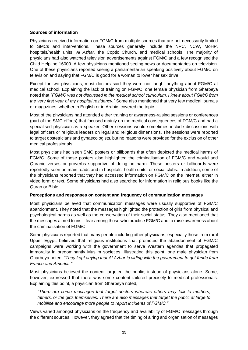# **Sources of information**

Physicians received information on FGM/C from multiple sources that are not necessarily limited to SMCs and interventions. These sources generally include the NPC, NCW, MoHP, hospitals/health units, *Al Azhar*, the Coptic Church, and medical schools. The majority of physicians had also watched television advertisements against FGM/C and a few recognised the Child Helpline 16000. A few physicians mentioned seeing news or documentaries on television. One of these physicians reported seeing a parliamentarian speaking positively about FGM/C on television and saying that FGM/C is good for a woman to lower her sex drive.

Except for two physicians, most doctors said they were not taught anything about FGM/C at medical school. Explaining the lack of training on FGM/C, one female physician from Gharbeya noted that *"FGM/C was not discussed in the medical school curriculum. I knew about FGM/C from the very first year of my hospital residency."* Some also mentioned that very few medical journals or magazines, whether in English or in Arabic, covered the topic.

Most of the physicians had attended either training or awareness-raising sessions or conferences (part of the SMC efforts) that focused mainly on the medical consequences of FGM/C and had a specialised physician as a speaker. Other sessions would sometimes include discussions with legal officers or religious leaders on legal and religious dimensions. The sessions were reported to target obstetricians and gynaecologists, but no reasons were provided for the exclusion of other medical professionals.

Most physicians had seen SMC posters or billboards that often depicted the medical harms of FGM/C. Some of these posters also highlighted the criminalisation of FGM/C and would add Quranic verses or proverbs supportive of doing no harm. These posters or billboards were reportedly seen on main roads and in hospitals, health units, or social clubs. In addition, some of the physicians reported that they had accessed information on FGM/C on the internet, either in video form or text. Some physicians had also searched for information in religious books like the Quran or Bible.

#### **Perceptions and responses on content and frequency of communication messages**

Most physicians believed that communication messages were usually supportive of FGM/C abandonment. They noted that the messages highlighted the protection of girls from physical and psychological harms as well as the conservation of their social status. They also mentioned that the messages aimed to instil fear among those who practise FGM/C and to raise awareness about the criminalisation of FGM/C.

Some physicians reported that many people including other physicians, especially those from rural Upper Egypt, believed that religious institutions that promoted the abandonment of FGM/C campaigns were working with the government to serve Western agendas that propagated immorality in predominantly Muslim societies. Illustrating this point, one male physician from Gharbeya noted, *"They kept saying that Al Azhar is siding with the government to get funds from France and America."*

Most physicians believed the content targeted the public, instead of physicians alone. Some, however, expressed that there was some content tailored precisely to medical professionals. Explaining this point, a physician from Gharbeya noted,

*"There are some messages that target doctors whereas others may talk to mothers, fathers, or the girls themselves. There are also messages that target the public at large to mobilise and encourage more people to report incidents of FGM/C."*

Views varied amongst physicians on the frequency and availability of FGM/C messages through the different sources. However, they agreed that the timing of airing and organisation of messages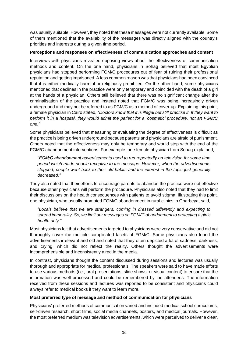was usually suitable. However, they noted that these messages were not currently available. Some of them mentioned that the availability of the messages was directly aligned with the country's priorities and interests during a given time period.

# **Perceptions and responses on effectiveness of communication approaches and content**

Interviews with physicians revealed opposing views about the effectiveness of communication methods and content. On the one hand, physicians in Sohag believed that most Egyptian physicians had stopped performing FGM/C procedures out of fear of ruining their professional reputation and getting imprisoned. A less common reason was that physicians had been convinced that it is either medically harmful or religiously prohibited. On the other hand, some physicians mentioned that declines in the practice were only temporary and coincided with the death of a girl at the hands of a physician. Others still believed that there was no significant change after the criminalisation of the practice and instead noted that FGM/C was being increasingly driven underground and may not be referred to as FGM/C as a method of cover-up. Explaining this point, a female physician in Cairo stated, *"Doctors know that it is illegal but still practise it. If they want to perform it in a hospital, they would admit the patient for a 'cosmetic' procedure, not an FGM/C one."* 

Some physicians believed that measuring or evaluating the degree of effectiveness is difficult as the practice is being driven underground because parents and physicians are afraid of punishment. Others noted that the effectiveness may only be temporary and would stop with the end of the FGM/C abandonment interventions. For example, one female physician from Sohaq explained,

*"FGM/C abandonment advertisements used to run repeatedly on television for some time period which made people receptive to the message. However, when the advertisements stopped, people went back to their old habits and the interest in the topic just generally decreased."*

They also noted that their efforts to encourage parents to abandon the practice were not effective because other physicians will perform the procedure. Physicians also noted that they had to limit their discussions on the health consequences with patients to avoid stigma. Illustrating this point, one physician, who usually promoted FGM/C abandonment in rural clinics in Gharbeya, said,

*"Locals believe that we are strangers, coming in dressed differently and expecting to spread immorality. So, we limit our messages on FGM/C abandonment to protecting a girl's health only."*

Most physicians felt that advertisements targeted to physicians were very conservative and did not thoroughly cover the multiple complicated facets of FGM/C. Some physicians also found the advertisements irrelevant and old and noted that they often depicted a lot of sadness, darkness, and crying, which did not reflect the reality. Others thought the advertisements were incomprehensible and inconsistently aired in the media.

In contrast, physicians thought the content discussed during sessions and lectures was usually thorough and appropriate for medical professionals. The speakers were said to have made efforts to use various methods (i.e., oral presentations, slide shows, or visual content) to ensure that the information was well processed and could be remembered by the attendees. The information received from these sessions and lectures was reported to be consistent and physicians could always refer to medical books if they want to learn more.

# **Most preferred type of message and method of communication for physicians**

Physicians' preferred methods of communication varied and included medical school curriculums, self-driven research, short films, social media channels, posters, and medical journals. However, the most preferred medium was television advertisements, which were perceived to deliver a clear,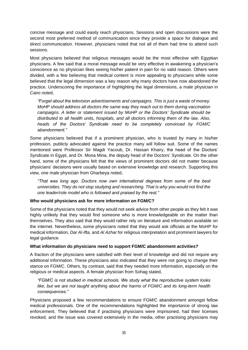concise message and could easily reach physicians. Sessions and open discussions were the second most preferred method of communication since they provide a space for dialogue and direct communication. However, physicians noted that not all of them had time to attend such sessions.

Most physicians believed that religious messages would be the most effective with Egyptian physicians. A few said that a moral message would be very effective in awakening a physician's conscience as no physician likes seeing his/her patient in pain for no valid reason. Others were divided, with a few believing that medical content is more appealing to physicians while some believed that the legal dimension was a key reason why many doctors have now abandoned the practice. Underscoring the importance of highlighting the legal dimensions, a male physician in Cairo noted,

*"Forget about the television advertisements and campaigns. This is just a waste of money. MoHP should address all doctors the same way they reach out to them during vaccination campaigns. A letter or statement issued by MoHP or the Doctors' Syndicate should be distributed to all health units, hospitals, and all doctors informing them of the law. Also, heads of the Doctors' Syndicate need to be completely convinced by FGM/C abandonment."*

Some physicians believed that if a prominent physician, who is trusted by many in his/her profession, publicly advocated against the practice many will follow suit. Some of the names mentioned were Professor Sir Magdi Yacoub, Dr. Hassan Khairy, the head of the Doctors' Syndicate in Egypt, and Dr. Mona Mina, the deputy head of the Doctors' Syndicate. On the other hand, some of the physicians felt that the views of prominent doctors did not matter because physicians' decisions were usually based on extensive knowledge and research. Supporting this view, one male physician from Gharbeya noted,

*"That was long ago. Doctors now own international degrees from some of the best universities. They do not stop studying and researching. That is why you would not find the one leader/role model who is followed and praised by the rest."*

# **Who would physicians ask for more information on FGM/C?**

Some of the physicians noted that they would not seek advice from other people as they felt it was highly unlikely that they would find someone who is more knowledgeable on the matter than themselves. They also said that they would rather rely on literature and information available on the internet. Nevertheless, some physicians noted that they would ask officials at the MoHP for medical information, *Dar Al-Ifta,* and *Al Azhar* for religious interpretation and prominent lawyers for legal guidance.

# **What information do physicians need to support FGM/C abandonment activities?**

A fraction of the physicians were satisfied with their level of knowledge and did not require any additional information. These physicians also indicated that they were not going to change their stance on FGM/C. Others, by contrast, said that they needed more information, especially on the religious or medical aspects. A female physician from Sohag stated,

*"FGM/C is not studied in medical schools. We study what the reproductive system looks like, but we are not taught anything about the harms of FGM/C and its long-term health consequences."*

Physicians proposed a few recommendations to ensure FGM/C abandonment amongst fellow medical professionals. One of the recommendations highlighted the importance of strong law enforcement. They believed that if practising physicians were imprisoned, had their licenses revoked, and the issue was covered extensively in the media, other practising physicians may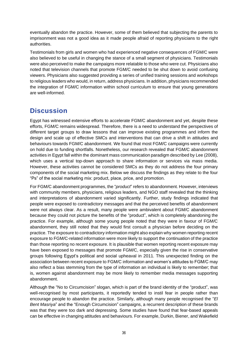eventually abandon the practice. However, some of them believed that subjecting the parents to imprisonment was not a good idea as it made people afraid of reporting physicians to the right authorities.

Testimonials from girls and women who had experienced negative consequences of FGM/C were also believed to be useful in changing the stance of a small segment of physicians. Testimonials were also perceived to make the campaigns more relatable to those who were cut. Physicians also noted that television channels that promote FGM/C needed to be shut down to avoid confusing viewers. Physicians also suggested providing a series of unified training sessions and workshops to religious leaders who would, in return, address physicians. In addition, physicians recommended the integration of FGM/C information within school curriculum to ensure that young generations are well-informed.

# <span id="page-45-0"></span>**Discussion**

Egypt has witnessed extensive efforts to accelerate FGM/C abandonment and yet, despite these efforts, FGM/C remains widespread. Therefore, there is a need to understand the perspectives of different target groups to draw lessons that can improve existing programmes and inform the design and scale up of effective SMCs and interventions that can drive a shift in attitudes and behaviours towards FGM/C abandonment. We found that most FGM/C campaigns were currently on hold due to funding shortfalls. Nonetheless, our research revealed that FGM/C abandonment activities in Egypt fall within the dominant mass communication paradigm described by Lee (2008), which uses a vertical top-down approach to share information or services via mass media. However, these activities cannot be considered SMCs as they do not address the four primary components of the social marketing mix. Below we discuss the findings as they relate to the four "Ps" of the social marketing mix: product, place, price, and promotion.

For FGM/C abandonment programmes, the "*product*" refers to abandonment. However, interviews with community members, physicians, religious leaders, and NGO staff revealed that the thinking and interpretations of abandonment varied significantly. Further, study findings indicated that people were exposed to contradictory messages and that the perceived benefits of abandonment were not always clear. As a result, many people were ambivalent about FGM/C abandonment because they could not picture the benefits of the "product", which is completely abandoning the practice. For example, although some young people noted that they were in favour of FGM/C abandonment, they still noted that they would first consult a physician before deciding on the practice. The exposure to contradictory information might also explain why women reporting recent exposure to FGM/C-related information were more likely to support the continuation of the practice than those reporting no recent exposure. It is plausible that women reporting recent exposure may have been exposed to messages that promote FGM/C, especially given the rise in conservative groups following Egypt's political and social upheaval in 2011*.* This unexpected finding on the association between recent exposure to FGM/C information and women's attitudes to FGM/C may also reflect a bias stemming from the type of information an individual is likely to remember; that is, women against abandonment may be more likely to remember media messages supporting abandonment.

Although the "No to Circumcision" slogan, which is part of the brand identity of the "product", was well-recognised by most participants, it reportedly tended to instil fear in people rather than encourage people to abandon the practice. Similarly, although many people recognised the "*El Bent Masriya*" and the "Enough Circumcision" campaigns, a recurrent description of these brands was that they were too dark and depressing. Some studies have found that fear-based appeals can be effective in changing attitudes and behaviours. For example, Durkin, Biener, and Wakefield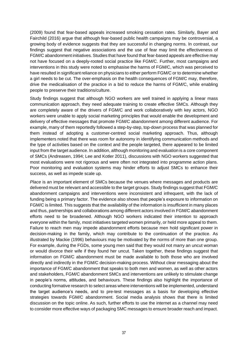(2009) found that fear-based appeals increased smoking cessation rates. Similarly, Bayer and Fairchild (2016) argue that although fear-based public health campaigns may be controversial, a growing body of evidence suggests that they are successful in changing norms. In contrast, our findings suggest that negative associations and the use of fear may limit the effectiveness of FGM/C abandonment initiatives. Studies that have found that fear-based appeals are effective may not have focused on a deeply-rooted social practice like FGM/C. Further, most campaigns and interventions in this study were noted to emphasise the harms of FGM/C, which was perceived to have resulted in significant reliance on physicians to either perform FGM/C or to determine whether a girl needs to be cut. The over-emphasis on the health consequences of FGM/C may, therefore, drive the medicalisation of the practice in a bid to reduce the harms of FGM/C, while enabling people to preserve their traditions/culture.

Study findings suggest that although NGO workers are well trained in applying a linear mass communication approach, they need adequate training to create effective SMCs. Although they are completely aware of the drivers of FGM/C and work collaboratively with key actors, NGO workers were unable to apply social marketing principles that would enable the development and delivery of effective messages that promote FGM/C abandonment among different audience. For example, many of them reportedly followed a step-by-step, top-down process that was planned for them instead of adopting a customer-centred social marketing approach. Thus, although implementers noted that there was room for autonomy in identifying communication methods and the type of activities based on the context and the people targeted, there appeared to be limited input from the target audience. In addition, although monitoring and evaluation is a core component of SMCs (Andreasen, 1994; Lee and Kotler 2011), discussions with NGO workers suggested that most evaluations were not rigorous and were often not integrated into programme action plans. Poor monitoring and evaluation systems may hinder efforts to adjust SMCs to enhance their success, as well as impede scale up.

*Place* is an important element of SMCs because the venues where messages and products are delivered must be relevant and accessible to the target groups. Study findings suggest that FGM/C abandonment campaigns and interventions were inconsistent and infrequent, with the lack of funding being a primary factor. The evidence also shows that people's exposure to information on FGM/C is limited. This suggests that the availability of the information is insufficient in many places and thus, partnerships and collaborations among different actors involved in FGM/C abandonment efforts need to be broadened. Although NGO workers indicated their intention to approach everyone within the family, most initiatives targeted women primarily, or held more appeal to them. Failure to reach men may impede abandonment efforts because men hold significant power in decision-making in the family, which may contribute to the continuation of the practice. As illustrated by Mackie (1996) behaviours may be motivated by the norms of more than one group. For example, during the FGDs, some young men said that they would not marry an uncut woman or would divorce their wife if they found her uncut. Taken together, these findings suggest that information on FGM/C abandonment must be made available to both those who are involved directly and indirectly in the FGM/C decision-making process. Without clear messaging about the importance of FGM/C abandonment that speaks to both men and women, as well as other actors and stakeholders, FGM/C abandonment SMCs and interventions are unlikely to stimulate change in people's norms, attitudes, and behaviours. These findings also highlight the importance of conducting formative research to select areas where interventions will be implemented, understand the target audience's needs, and to pre-test messages as a basis for developing effective strategies towards FGM/C abandonment. Social media analysis shows that there is limited discussion on the topic online. As such, further efforts to use the internet as a channel may need to consider more effective ways of packaging SMC messages to ensure broader reach and impact.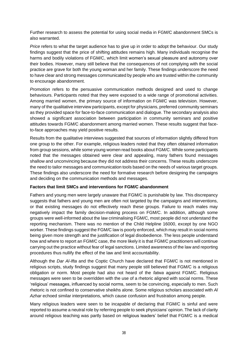Further research to assess the potential for using social media in FGM/C abandonment SMCs is also warranted.

*Price* refers to what the target audience has to give up in order to adopt the behaviour. Our study findings suggest that the price of shifting attitudes remains high. Many individuals recognise the harms and bodily violations of FGM/C, which limit women's sexual pleasure and autonomy over their bodies. However, many still believe that the consequences of not complying with the social practice are grave for both the young woman and her family. These findings underscore the need to have clear and strong messages communicated by people who are trusted within the community to encourage abandonment.

*Promotion* refers to the persuasive communication methods designed and used to change behaviours. Participants noted that they were exposed to a wide range of promotional activities. Among married women, the primary source of information on FGM/C was television. However, many of the qualitative interview participants, except for physicians, preferred community seminars as they provided space for face-to-face communication and dialogue. The secondary analysis also showed a significant association between participation in community seminars and positive attitudes towards FGM/C abandonment among married women. These results suggest that faceto-face approaches may yield positive results.

Results from the qualitative interviews suggested that sources of information slightly differed from one group to the other. For example, religious leaders noted that they often obtained information from group sessions, while some young women read books about FGM/C. While some participants noted that the messages obtained were clear and appealing, many fathers found messages shallow and unconvincing because they did not address their concerns. These results underscore the need to tailor messages and communication tools based on the needs of various target groups. These findings also underscore the need for formative research before designing the campaigns and deciding on the communication methods and messages.

# **Factors that limit SMCs and interventions for FGM/C abandonment**

Fathers and young men were largely unaware that FGM/C is punishable by law. This discrepancy suggests that fathers and young men are often not targeted by the campaigns and interventions, or that existing messages do not effectively reach these groups. Failure to reach males may negatively impact the family decision-making process on FGM/C. In addition, although some groups were well-informed about the law criminalising FGM/C, most people did not understand the reporting mechanism. There was no mention of the Child Helpline 16000, except by one NGO worker. These findings suggest the FGM/C law is poorly enforced, which may result in social norms being given more strength and the justification of legal disobedience. The less people understand how and where to report an FGM/C case, the more likely it is that FGM/C practitioners will continue carrying out the practice without fear of legal sanctions. Limited awareness of the law and reporting procedures thus nullify the effect of the law and limit accountability.

Although the *Dar Al-Ifta* and the Coptic Church have declared that FGM/C is not mentioned in religious scripts, study findings suggest that many people still believed that FGM/C is a religious obligation or norm. Most people had also not heard of the *fatwa* against FGM/C. Religious messages were seen to be overridden with the use of a rhetoric aligned with social norms. These 'religious' messages, influenced by social norms, seem to be convincing, especially to men. Such rhetoric is not confined to conservative sheikhs alone. Some religious scholars associated with *Al Azhar* echoed similar interpretations, which cause confusion and frustration among people.

Many religious leaders were seen to be incapable of declaring that FGM/C is sinful and were reported to assume a neutral role by referring people to seek physicians' opinion. The lack of clarity around religious teaching was partly based on religious leaders' belief that FGM/C is a medical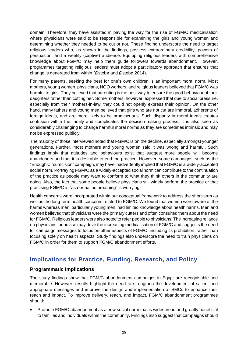domain. Therefore, they have assisted in paving the way for the rise of FGM/C medicalisation where physicians were said to be responsible for examining the girls and young women and determining whether they needed to be cut or not. These finding underscore the need to target religious leaders who, as shown in the findings, possess extraordinary credibility, powers of persuasion, and a weekly (captive) audience. Equipping religious leaders with comprehensive knowledge about FGM/C may help them guide followers towards abandonment. However, programmes targeting religious leaders must adopt a participatory approach that ensures that change is generated from within (Østebø and Østebø 2014).

For many parents, seeking the best for one's own children is an important moral norm. Most mothers, young women, physicians, NGO workers, and religious leaders believed that FGM/C was harmful to girls. They believed that parenting is the best way to ensure the good behaviour of their daughters rather than cutting her. Some mothers, however, expressed that due to social pressure, especially from their mothers-in-law, they could not openly express their opinion. On the other hand, many fathers and young men believed that girls who are not cut are immoral, adherents of foreign ideals, and are more likely to be promiscuous. Such disparity in moral ideals creates confusion within the family and complicates the decision-making process. It is also seen as considerably challenging to change harmful moral norms as they are sometimes intrinsic and may not be expressed publicly.

The majority of those interviewed noted that FGM/C is on the decline, especially amongst younger generations. Further, most mothers and young women said it was wrong and harmful. Such findings imply that attitudes and behaviours exist that suggest more people will become abandoners and that it is desirable to end the practice. However, some campaigns, such as the "Enough Circumcision" campaign, may have inadvertently implied that FGM/C is a widely-accepted social norm. Portraying FGM/C as a widely-accepted social norm can contribute to the continuation of the practice as people may want to conform to what they think others in the community are doing. Also, the fact that some people believe physicians still widely perform the practice or that practising FGM/C is "as normal as breathing" is worrying.

Health concerns were incorporated within our conceptual framework to address the short-term as well as the long-term health concerns related to FGM/C. We found that women were aware of the harms whereas men, particularly young men, had limited knowledge about health harms. Men and women believed that physicians were the primary cutters and often consulted them about the need for FGM/C. Religious leaders were also noted to refer people to physicians. The increasing reliance on physicians for advice may drive the increasing medicalisation of FGM/C and suggests the need for campaign messages to focus on other aspects of FGM/C, including its prohibition, rather than focusing solely on health aspects. Study findings also underscore the need to train physicians on FGM/C in order for them to support FGM/C abandonment efforts.

# <span id="page-48-0"></span>**Implications for Practice, Funding, Research, and Policy**

# <span id="page-48-1"></span>**Programmatic Implications**

The study findings show that FGM/C abandonment campaigns in Egypt are recognisable and memorable. However, results highlight the need to strengthen the development of salient and appropriate messages and improve the design and implementation of SMCs to enhance their reach and impact. To improve delivery, reach, and impact, FGM/C abandonment programmes should:

• Promote FGM/C abandonment as a new social norm that is widespread and greatly beneficial to families and individuals within the community. Findings also suggest that campaigns should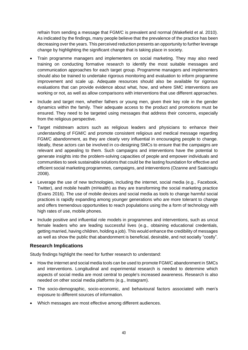refrain from sending a message that FGM/C is prevalent and normal (Wakefield et al. 2010). As indicated by the findings, many people believe that the prevalence of the practice has been decreasing over the years. This perceived reduction presents an opportunity to further leverage change by highlighting the significant change that is taking place in society.

- Train programme managers and implementers on social marketing. They may also need training on conducting formative research to identify the most suitable messages and communication approaches for each target group. Programme managers and implementers should also be trained to undertake rigorous monitoring and evaluation to inform programme improvement and scale up. Adequate resources should also be available for rigorous evaluations that can provide evidence about what, how, and where SMC interventions are working or not, as well as allow comparisons with interventions that use different approaches.
- Include and target men, whether fathers or young men, given their key role in the gender dynamics within the family. Their adequate access to the product and promotions must be ensured. They need to be targeted using messages that address their concerns, especially from the religious perspective.
- Target midstream actors such as religious leaders and physicians to enhance their understanding of FGM/C and promote consistent religious and medical message regarding FGM/C abandonment, as they are clearly very influential in encouraging people to change. Ideally, these actors can be involved in co-designing SMCs to ensure that the campaigns are relevant and appealing to them. Such campaigns and interventions have the potential to generate insights into the problem-solving capacities of people and empower individuals and communities to seek sustainable solutions that could be the lasting foundation for effective and efficient social marketing programmes, campaigns, and interventions (Ozanne and Saatcioglu 2008).
- Leverage the use of new technologies, including the internet, social media (e.g., Facebook, Twitter), and mobile health (mHealth) as they are transforming the social marketing practice (Evans 2016). The use of mobile devices and social media as tools to change harmful social practices is rapidly expanding among younger generations who are more tolerant to change and offers tremendous opportunities to reach populations using the a form of technology with high rates of use, mobile phones.
- Include positive and influential role models in programmes and interventions, such as uncut female leaders who are leading successful lives (e.g., obtaining educational credentials, getting married, having children, holding a job). This would enhance the credibility of messages as well as show the public that abandonment is beneficial, desirable, and not socially "costly".

# <span id="page-49-0"></span>**Research Implications**

Study findings highlight the need for further research to understand:

- How the internet and social media tools can be used to promote FGM/C abandonment in SMCs and interventions. Longitudinal and experimental research is needed to determine which aspects of social media are most central to people's increased awareness. Research is also needed on other social media platforms (e.g., Instagram).
- The socio-demographic, socio-economic, and behavioural factors associated with men's exposure to different sources of information.
- Which messages are most effective among different audiences.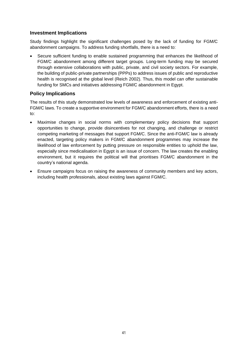# <span id="page-50-0"></span>**Investment Implications**

Study findings highlight the significant challenges posed by the lack of funding for FGM/C abandonment campaigns. To address funding shortfalls, there is a need to:

• Secure sufficient funding to enable sustained programming that enhances the likelihood of FGM/C abandonment among different target groups. Long-term funding may be secured through extensive collaborations with public, private, and civil society sectors. For example, the building of public-private partnerships (PPPs) to address issues of public and reproductive health is recognised at the global level (Reich 2002). Thus, this model can offer sustainable funding for SMCs and initiatives addressing FGM/C abandonment in Egypt.

# <span id="page-50-1"></span>**Policy Implications**

The results of this study demonstrated low levels of awareness and enforcement of existing anti-FGM/C laws. To create a supportive environment for FGM/C abandonment efforts, there is a need to:

- Maximise changes in social norms with complementary policy decisions that support opportunities to change, provide disincentives for not changing, and challenge or restrict competing marketing of messages that support FGM/C. Since the anti-FGM/C law is already enacted, targeting policy makers in FGM/C abandonment programmes may increase the likelihood of law enforcement by putting pressure on responsible entities to uphold the law, especially since medicalisation in Egypt is an issue of concern. The law creates the enabling environment, but it requires the political will that prioritises FGM/C abandonment in the country's national agenda.
- Ensure campaigns focus on raising the awareness of community members and key actors, including health professionals, about existing laws against FGM/C.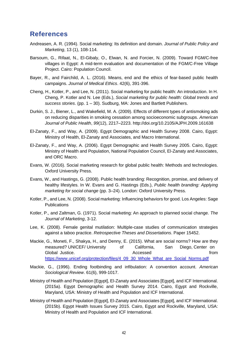# <span id="page-51-0"></span>**References**

- Andreasen, A. R. (1994). Social marketing: Its definition and domain. *Journal of Public Policy and Marketing*, 13 (1), 108-114.
- Barsoum, G., Rifaat, N., El-Gibaly, O., Elwan, N. and Forcier, N. (2009). Toward FGM/C-free villages in Egypt: A mid-term evaluation and documentation of the FGM/C-Free Village Project. Cairo: Population Council.
- Bayer, R., and Fairchild, A. L. (2016). Means, end and the ethics of fear-based public health campaigns. *Journal of Medical Ethics*. 42(6), 391-396.
- Cheng, H., Kotler, P., and Lee, N. (2011). Social marketing for public health: An introduction. In H. Cheng, P. Kotler and N. Lee (Eds.), *Social marketing for public health: Global trends and success stories*. (pp. 1 – 30). Sudburg, MA: Jones and Bartlett Publishers.
- Durkin, S. J., Biener, L., and Wakefield, M. A. (2009). Effects of different types of antismoking ads on reducing disparities in smoking cessation among socioeconomic subgroups. *American Journal of Public Health*, *99*(12), 2217–2223. http://doi.org/10.2105/AJPH.2009.161638
- El-Zanaty, F., and Way, A. (2009). Egypt Demographic and Health Survey 2008. Cairo, Egypt: Ministry of Health, El-Zanaty and Associates, and Macro International.
- El-Zanaty, F., and Way, A. (2006). Egypt Demographic and Health Survey 2005. Cairo, Egypt: Ministry of Health and Population, National Population Council, El-Zanaty and Associates, and ORC Macro.
- Evans, W. (2016). Social marketing research for global public health: Methods and technologies. Oxford University Press.
- Evans, W., and Hastings, G. (2008). Public health branding: Recognition, promise, and delivery of healthy lifestyles. In W. Evans and G. Hastings (Eds.), *Public health branding: Applying marketing for social change* (pp. 3–24). London: Oxford University Press.
- Kotler, P., and Lee, N. (2008). Social marketing: Influencing behaviors for good. Los Angeles: Sage **Publications**
- Kotler, P., and Zaltman, G. (1971). Social marketing: An approach to planned social change. *The Journal of Marketing*, 3-12.
- Lee, K. (2008). Female genital mutilation: Multiple-case studies of communication strategies against a taboo practice. *Retrospective Theses and Dissertations*. Paper 15452.
- Mackie, G., Moneti, F., Shakya, H., and Denny, E. (2015). What are social norms? How are they measured? UNICEF/ University of California, San Diego, Center on Global Justice. The contract of the Accessed contract of the from the from the from the from the from the from the from the from the from the from the from the from the from the from the from the from the from the from the [https://www.unicef.org/protection/files/4\\_09\\_30\\_Whole\\_What\\_are\\_Social\\_Norms.pdf](https://www.unicef.org/protection/files/4_09_30_Whole_What_are_Social_Norms.pdf)
- Mackie, G., (1996). Ending footbinding and infibulation: A convention account. *American Sociological Review*. 61(6), 999-1017.
- Ministry of Health and Population [Egypt], El-Zanaty and Associates [Egypt], and ICF International. (2015a). Egypt Demographic and Health Survey 2014. Cairo, Egypt and Rockville, Maryland, USA: Ministry of Health and Population and ICF International.
- Ministry of Health and Population [Egypt], El-Zanaty and Associates [Egypt], and ICF International. (2015b). Egypt Health Issues Survey 2015. Cairo, Egypt and Rockville, Maryland, USA: Ministry of Health and Population and ICF International.